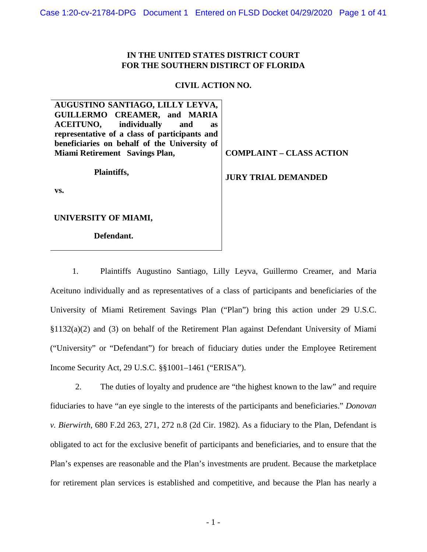# **IN THE UNITED STATES DISTRICT COURT FOR THE SOUTHERN DISTIRCT OF FLORIDA**

# **CIVIL ACTION NO.**

| AUGUSTINO SANTIAGO, LILLY LEYVA,              |                                 |
|-----------------------------------------------|---------------------------------|
| GUILLERMO CREAMER, and MARIA                  |                                 |
| <b>ACEITUNO</b> , individually<br>and<br>as   |                                 |
| representative of a class of participants and |                                 |
| beneficiaries on behalf of the University of  |                                 |
| Miami Retirement Savings Plan,                | <b>COMPLAINT – CLASS ACTION</b> |
|                                               |                                 |
| Plaintiffs,                                   | <b>JURY TRIAL DEMANDED</b>      |
|                                               |                                 |
| VS.                                           |                                 |
|                                               |                                 |
|                                               |                                 |
| UNIVERSITY OF MIAMI,                          |                                 |
|                                               |                                 |
| Defendant.                                    |                                 |

1. Plaintiffs Augustino Santiago, Lilly Leyva, Guillermo Creamer, and Maria Aceituno individually and as representatives of a class of participants and beneficiaries of the University of Miami Retirement Savings Plan ("Plan") bring this action under 29 U.S.C.  $\S1132(a)(2)$  and (3) on behalf of the Retirement Plan against Defendant University of Miami ("University" or "Defendant") for breach of fiduciary duties under the Employee Retirement Income Security Act, 29 U.S.C. §§1001–1461 ("ERISA").

2. The duties of loyalty and prudence are "the highest known to the law" and require fiduciaries to have "an eye single to the interests of the participants and beneficiaries." *Donovan v. Bierwirth*, 680 F.2d 263, 271, 272 n.8 (2d Cir. 1982). As a fiduciary to the Plan, Defendant is obligated to act for the exclusive benefit of participants and beneficiaries, and to ensure that the Plan's expenses are reasonable and the Plan's investments are prudent. Because the marketplace for retirement plan services is established and competitive, and because the Plan has nearly a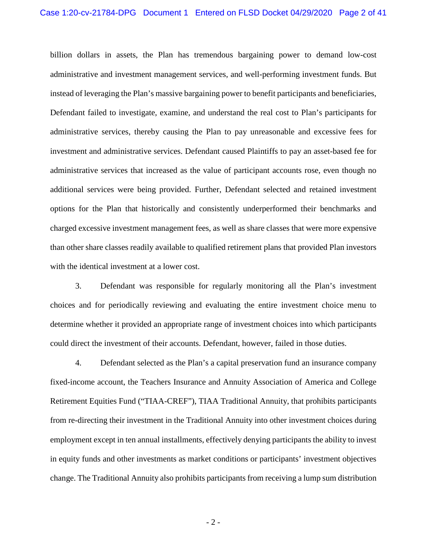billion dollars in assets, the Plan has tremendous bargaining power to demand low-cost administrative and investment management services, and well-performing investment funds. But instead of leveraging the Plan's massive bargaining power to benefit participants and beneficiaries, Defendant failed to investigate, examine, and understand the real cost to Plan's participants for administrative services, thereby causing the Plan to pay unreasonable and excessive fees for investment and administrative services. Defendant caused Plaintiffs to pay an asset-based fee for administrative services that increased as the value of participant accounts rose, even though no additional services were being provided. Further, Defendant selected and retained investment options for the Plan that historically and consistently underperformed their benchmarks and charged excessive investment management fees, as well as share classes that were more expensive than other share classes readily available to qualified retirement plans that provided Plan investors with the identical investment at a lower cost.

3. Defendant was responsible for regularly monitoring all the Plan's investment choices and for periodically reviewing and evaluating the entire investment choice menu to determine whether it provided an appropriate range of investment choices into which participants could direct the investment of their accounts. Defendant, however, failed in those duties.

4. Defendant selected as the Plan's a capital preservation fund an insurance company fixed-income account, the Teachers Insurance and Annuity Association of America and College Retirement Equities Fund ("TIAA-CREF"), TIAA Traditional Annuity, that prohibits participants from re-directing their investment in the Traditional Annuity into other investment choices during employment except in ten annual installments, effectively denying participants the ability to invest in equity funds and other investments as market conditions or participants' investment objectives change. The Traditional Annuity also prohibits participants from receiving a lump sum distribution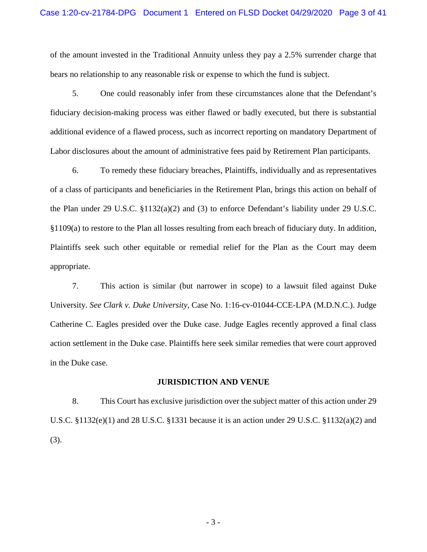of the amount invested in the Traditional Annuity unless they pay a 2.5% surrender charge that bears no relationship to any reasonable risk or expense to which the fund is subject.

5. One could reasonably infer from these circumstances alone that the Defendant's fiduciary decision-making process was either flawed or badly executed, but there is substantial additional evidence of a flawed process, such as incorrect reporting on mandatory Department of Labor disclosures about the amount of administrative fees paid by Retirement Plan participants.

6. To remedy these fiduciary breaches, Plaintiffs, individually and as representatives of a class of participants and beneficiaries in the Retirement Plan, brings this action on behalf of the Plan under 29 U.S.C. §1132(a)(2) and (3) to enforce Defendant's liability under 29 U.S.C. §1109(a) to restore to the Plan all losses resulting from each breach of fiduciary duty. In addition, Plaintiffs seek such other equitable or remedial relief for the Plan as the Court may deem appropriate.

7. This action is similar (but narrower in scope) to a lawsuit filed against Duke University. *See Clark v. Duke University*, Case No. 1:16-cv-01044-CCE-LPA (M.D.N.C.). Judge Catherine C. Eagles presided over the Duke case. Judge Eagles recently approved a final class action settlement in the Duke case. Plaintiffs here seek similar remedies that were court approved in the Duke case.

#### **JURISDICTION AND VENUE**

8. This Court has exclusive jurisdiction over the subject matter of this action under 29 U.S.C. §1132(e)(1) and 28 U.S.C. §1331 because it is an action under 29 U.S.C. §1132(a)(2) and (3).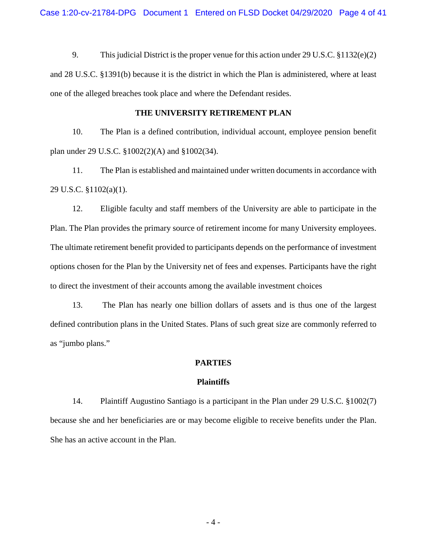9. This judicial District is the proper venue for this action under 29 U.S.C. §1132(e)(2) and 28 U.S.C. §1391(b) because it is the district in which the Plan is administered, where at least one of the alleged breaches took place and where the Defendant resides.

## **THE UNIVERSITY RETIREMENT PLAN**

10. The Plan is a defined contribution, individual account, employee pension benefit plan under 29 U.S.C. §1002(2)(A) and §1002(34).

11. The Plan is established and maintained under written documents in accordance with 29 U.S.C. §1102(a)(1).

12. Eligible faculty and staff members of the University are able to participate in the Plan. The Plan provides the primary source of retirement income for many University employees. The ultimate retirement benefit provided to participants depends on the performance of investment options chosen for the Plan by the University net of fees and expenses. Participants have the right to direct the investment of their accounts among the available investment choices

13. The Plan has nearly one billion dollars of assets and is thus one of the largest defined contribution plans in the United States. Plans of such great size are commonly referred to as "jumbo plans."

## **PARTIES**

## **Plaintiffs**

14. Plaintiff Augustino Santiago is a participant in the Plan under 29 U.S.C. §1002(7) because she and her beneficiaries are or may become eligible to receive benefits under the Plan. She has an active account in the Plan.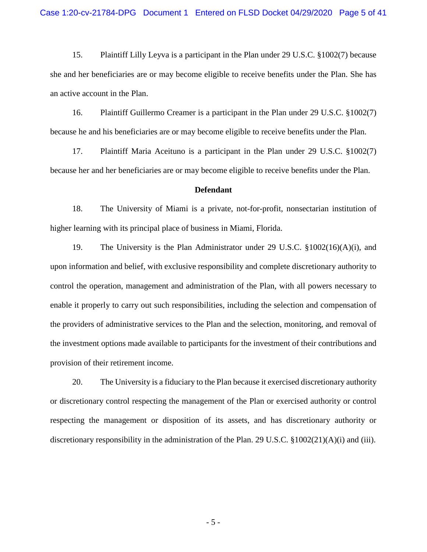15. Plaintiff Lilly Leyva is a participant in the Plan under 29 U.S.C. §1002(7) because she and her beneficiaries are or may become eligible to receive benefits under the Plan. She has an active account in the Plan.

16. Plaintiff Guillermo Creamer is a participant in the Plan under 29 U.S.C. §1002(7) because he and his beneficiaries are or may become eligible to receive benefits under the Plan.

17. Plaintiff Maria Aceituno is a participant in the Plan under 29 U.S.C. §1002(7) because her and her beneficiaries are or may become eligible to receive benefits under the Plan.

#### **Defendant**

18. The University of Miami is a private, not-for-profit, nonsectarian institution of higher learning with its principal place of business in Miami, Florida.

19. The University is the Plan Administrator under 29 U.S.C. §1002(16)(A)(i), and upon information and belief, with exclusive responsibility and complete discretionary authority to control the operation, management and administration of the Plan, with all powers necessary to enable it properly to carry out such responsibilities, including the selection and compensation of the providers of administrative services to the Plan and the selection, monitoring, and removal of the investment options made available to participants for the investment of their contributions and provision of their retirement income.

20. The University is a fiduciary to the Plan because it exercised discretionary authority or discretionary control respecting the management of the Plan or exercised authority or control respecting the management or disposition of its assets, and has discretionary authority or discretionary responsibility in the administration of the Plan. 29 U.S.C. §1002(21)(A)(i) and (iii).

- 5 -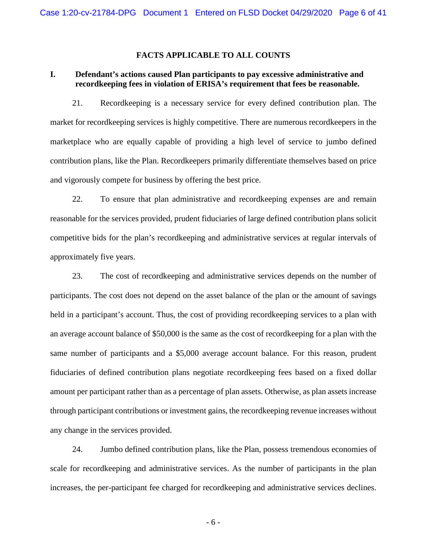## **FACTS APPLICABLE TO ALL COUNTS**

# **I. Defendant's actions caused Plan participants to pay excessive administrative and recordkeeping fees in violation of ERISA's requirement that fees be reasonable.**

21. Recordkeeping is a necessary service for every defined contribution plan. The market for recordkeeping services is highly competitive. There are numerous recordkeepers in the marketplace who are equally capable of providing a high level of service to jumbo defined contribution plans, like the Plan. Recordkeepers primarily differentiate themselves based on price and vigorously compete for business by offering the best price.

22. To ensure that plan administrative and recordkeeping expenses are and remain reasonable for the services provided, prudent fiduciaries of large defined contribution plans solicit competitive bids for the plan's recordkeeping and administrative services at regular intervals of approximately five years.

23. The cost of recordkeeping and administrative services depends on the number of participants. The cost does not depend on the asset balance of the plan or the amount of savings held in a participant's account. Thus, the cost of providing recordkeeping services to a plan with an average account balance of \$50,000 is the same as the cost of recordkeeping for a plan with the same number of participants and a \$5,000 average account balance. For this reason, prudent fiduciaries of defined contribution plans negotiate recordkeeping fees based on a fixed dollar amount per participant rather than as a percentage of plan assets. Otherwise, as plan assets increase through participant contributions or investment gains, the recordkeeping revenue increases without any change in the services provided.

24. Jumbo defined contribution plans, like the Plan, possess tremendous economies of scale for recordkeeping and administrative services. As the number of participants in the plan increases, the per-participant fee charged for recordkeeping and administrative services declines.

- 6 -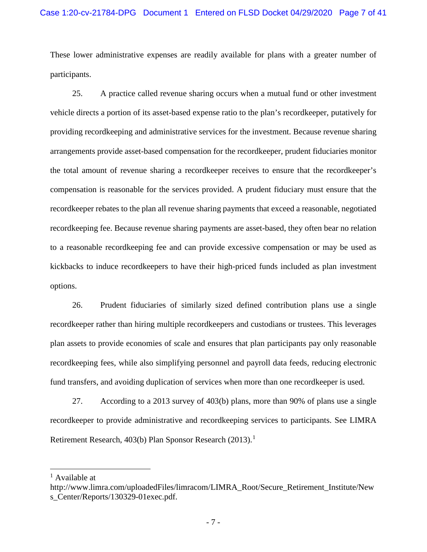These lower administrative expenses are readily available for plans with a greater number of participants.

25. A practice called revenue sharing occurs when a mutual fund or other investment vehicle directs a portion of its asset-based expense ratio to the plan's recordkeeper, putatively for providing recordkeeping and administrative services for the investment. Because revenue sharing arrangements provide asset-based compensation for the recordkeeper, prudent fiduciaries monitor the total amount of revenue sharing a recordkeeper receives to ensure that the recordkeeper's compensation is reasonable for the services provided. A prudent fiduciary must ensure that the recordkeeper rebates to the plan all revenue sharing payments that exceed a reasonable, negotiated recordkeeping fee. Because revenue sharing payments are asset-based, they often bear no relation to a reasonable recordkeeping fee and can provide excessive compensation or may be used as kickbacks to induce recordkeepers to have their high-priced funds included as plan investment options.

26. Prudent fiduciaries of similarly sized defined contribution plans use a single recordkeeper rather than hiring multiple recordkeepers and custodians or trustees. This leverages plan assets to provide economies of scale and ensures that plan participants pay only reasonable recordkeeping fees, while also simplifying personnel and payroll data feeds, reducing electronic fund transfers, and avoiding duplication of services when more than one recordkeeper is used.

27. According to a 2013 survey of 403(b) plans, more than 90% of plans use a single recordkeeper to provide administrative and recordkeeping services to participants. See LIMRA Retirement Research, 403(b) Plan Sponsor Research (20[1](#page-6-0)3).<sup>1</sup>

<span id="page-6-0"></span> $<sup>1</sup>$  Available at</sup>

http://www.limra.com/uploadedFiles/limracom/LIMRA\_Root/Secure\_Retirement\_Institute/New s\_Center/Reports/130329-01exec.pdf.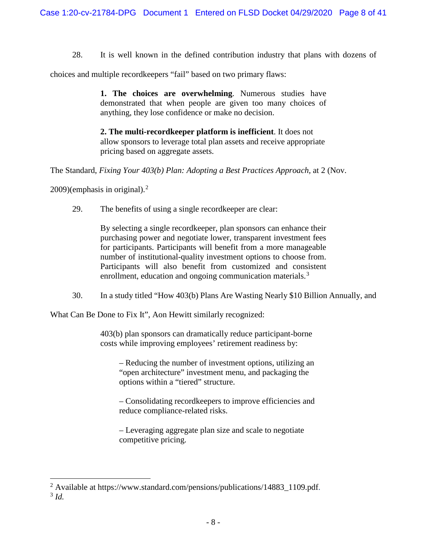28. It is well known in the defined contribution industry that plans with dozens of

choices and multiple recordkeepers "fail" based on two primary flaws:

**1. The choices are overwhelming**. Numerous studies have demonstrated that when people are given too many choices of anything, they lose confidence or make no decision.

**2. The multi-recordkeeper platform is inefficient**. It does not allow sponsors to leverage total plan assets and receive appropriate pricing based on aggregate assets.

The Standard, *Fixing Your 403(b) Plan: Adopting a Best Practices Approach,* at 2 (Nov.

[2](#page-7-0)009)(emphasis in original). $2$ 

29. The benefits of using a single recordkeeper are clear:

By selecting a single recordkeeper, plan sponsors can enhance their purchasing power and negotiate lower, transparent investment fees for participants. Participants will benefit from a more manageable number of institutional-quality investment options to choose from. Participants will also benefit from customized and consistent enrollment, education and ongoing communication materials.<sup>[3](#page-7-1)</sup>

30. In a study titled "How 403(b) Plans Are Wasting Nearly \$10 Billion Annually, and

What Can Be Done to Fix It", Aon Hewitt similarly recognized:

403(b) plan sponsors can dramatically reduce participant-borne costs while improving employees' retirement readiness by:

– Reducing the number of investment options, utilizing an "open architecture" investment menu, and packaging the options within a "tiered" structure.

– Consolidating recordkeepers to improve efficiencies and reduce compliance-related risks.

– Leveraging aggregate plan size and scale to negotiate competitive pricing.

<span id="page-7-1"></span><span id="page-7-0"></span> <sup>2</sup> Available at [https://www.standard.com/pensions/publications/14883\\_1109.pdf.](https://www.standard.com/pensions/publications/14883_1109.pdf) <sup>3</sup> *Id.*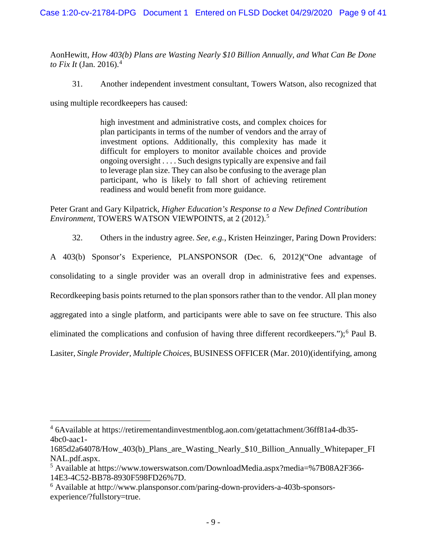AonHewitt, *How 403(b) Plans are Wasting Nearly \$10 Billion Annually, and What Can Be Done to Fix It* (Jan. 2016).<sup>[4](#page-8-0)</sup>

31. Another independent investment consultant, Towers Watson, also recognized that

using multiple recordkeepers has caused:

high investment and administrative costs, and complex choices for plan participants in terms of the number of vendors and the array of investment options. Additionally, this complexity has made it difficult for employers to monitor available choices and provide ongoing oversight . . . . Such designs typically are expensive and fail to leverage plan size. They can also be confusing to the average plan participant, who is likely to fall short of achieving retirement readiness and would benefit from more guidance.

Peter Grant and Gary Kilpatrick, *Higher Education's Response to a New Defined Contribution Environment*, TOWERS WATSON VIEWPOINTS, at 2 (2012).<sup>[5](#page-8-1)</sup>

32. Others in the industry agree. *See, e.g.*, Kristen Heinzinger, Paring Down Providers: A 403(b) Sponsor's Experience, PLANSPONSOR (Dec. 6, 2012)("One advantage of consolidating to a single provider was an overall drop in administrative fees and expenses. Recordkeeping basis points returned to the plan sponsors rather than to the vendor. All plan money aggregated into a single platform, and participants were able to save on fee structure. This also

eliminated the complications and confusion of having three different recordkeepers.");<sup>[6](#page-8-2)</sup> Paul B.

Lasiter, *Single Provider, Multiple Choices*, BUSINESS OFFICER (Mar. 2010)(identifying, among

<span id="page-8-0"></span> <sup>4</sup> 6Available at https://retirementandinvestmentblog.aon.com/getattachment/36ff81a4-db35- 4bc0-aac1-

<sup>1685</sup>d2a64078/How\_403(b)\_Plans\_are\_Wasting\_Nearly\_\$10\_Billion\_Annually\_Whitepaper\_FI NAL.pdf.aspx.

<span id="page-8-1"></span><sup>5</sup> Available at https://www.towerswatson.com/DownloadMedia.aspx?media=%7B08A2F366- 14E3-4C52-BB78-8930F598FD26%7D.

<span id="page-8-2"></span><sup>6</sup> Available at http://www.plansponsor.com/paring-down-providers-a-403b-sponsorsexperience/?fullstory=true.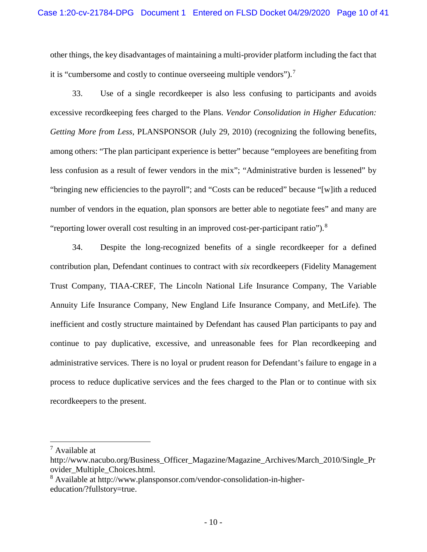other things, the key disadvantages of maintaining a multi-provider platform including the fact that it is "cumbersome and costly to continue overseeing multiple vendors").[7](#page-9-0)

33. Use of a single recordkeeper is also less confusing to participants and avoids excessive recordkeeping fees charged to the Plans. *Vendor Consolidation in Higher Education: Getting More from Less*, PLANSPONSOR (July 29, 2010) (recognizing the following benefits, among others: "The plan participant experience is better" because "employees are benefiting from less confusion as a result of fewer vendors in the mix"; "Administrative burden is lessened" by "bringing new efficiencies to the payroll"; and "Costs can be reduced" because "[w]ith a reduced number of vendors in the equation, plan sponsors are better able to negotiate fees" and many are "reporting lower overall cost resulting in an improved cost-per-participant ratio").<sup>[8](#page-9-1)</sup>

34. Despite the long-recognized benefits of a single recordkeeper for a defined contribution plan, Defendant continues to contract with *six* recordkeepers (Fidelity Management Trust Company, TIAA-CREF, The Lincoln National Life Insurance Company, The Variable Annuity Life Insurance Company, New England Life Insurance Company, and MetLife). The inefficient and costly structure maintained by Defendant has caused Plan participants to pay and continue to pay duplicative, excessive, and unreasonable fees for Plan recordkeeping and administrative services. There is no loyal or prudent reason for Defendant's failure to engage in a process to reduce duplicative services and the fees charged to the Plan or to continue with six recordkeepers to the present.

<span id="page-9-0"></span> $<sup>7</sup>$  Available at</sup>

http://www.nacubo.org/Business\_Officer\_Magazine/Magazine\_Archives/March\_2010/Single\_Pr ovider\_Multiple\_Choices.html.

<span id="page-9-1"></span><sup>8</sup> Available at http://www.plansponsor.com/vendor-consolidation-in-highereducation/?fullstory=true.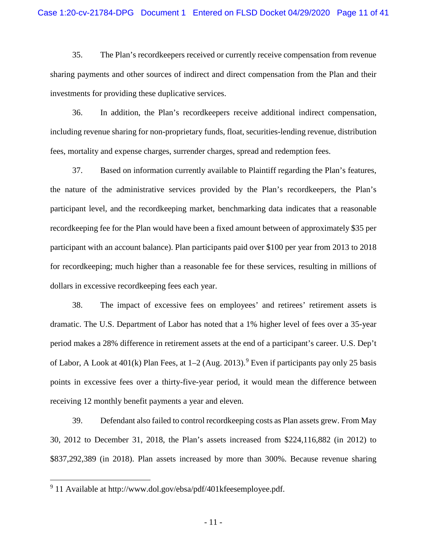35. The Plan's recordkeepers received or currently receive compensation from revenue sharing payments and other sources of indirect and direct compensation from the Plan and their investments for providing these duplicative services.

36. In addition, the Plan's recordkeepers receive additional indirect compensation, including revenue sharing for non-proprietary funds, float, securities-lending revenue, distribution fees, mortality and expense charges, surrender charges, spread and redemption fees.

37. Based on information currently available to Plaintiff regarding the Plan's features, the nature of the administrative services provided by the Plan's recordkeepers, the Plan's participant level, and the recordkeeping market, benchmarking data indicates that a reasonable recordkeeping fee for the Plan would have been a fixed amount between of approximately \$35 per participant with an account balance). Plan participants paid over \$100 per year from 2013 to 2018 for recordkeeping; much higher than a reasonable fee for these services, resulting in millions of dollars in excessive recordkeeping fees each year.

38. The impact of excessive fees on employees' and retirees' retirement assets is dramatic. The U.S. Department of Labor has noted that a 1% higher level of fees over a 35-year period makes a 28% difference in retirement assets at the end of a participant's career. U.S. Dep't of Labor, A Look at  $401(k)$  Plan Fees, at  $1-2$  (Aug. 2013).<sup>[9](#page-10-0)</sup> Even if participants pay only 25 basis points in excessive fees over a thirty-five-year period, it would mean the difference between receiving 12 monthly benefit payments a year and eleven.

39. Defendant also failed to control recordkeeping costs as Plan assets grew. From May 30, 2012 to December 31, 2018, the Plan's assets increased from \$224,116,882 (in 2012) to \$837,292,389 (in 2018). Plan assets increased by more than 300%. Because revenue sharing

<span id="page-10-0"></span> <sup>9</sup> 11 Available at [http://www.dol.gov/ebsa/pdf/401kfeesemployee.pdf.](http://www.dol.gov/ebsa/pdf/401kfeesemployee.pdf)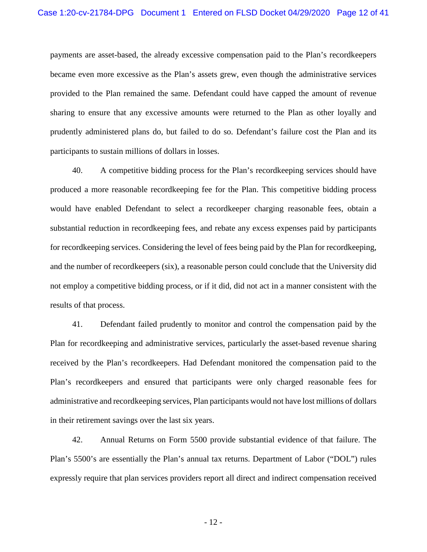payments are asset-based, the already excessive compensation paid to the Plan's recordkeepers became even more excessive as the Plan's assets grew, even though the administrative services provided to the Plan remained the same. Defendant could have capped the amount of revenue sharing to ensure that any excessive amounts were returned to the Plan as other loyally and prudently administered plans do, but failed to do so. Defendant's failure cost the Plan and its participants to sustain millions of dollars in losses.

40. A competitive bidding process for the Plan's recordkeeping services should have produced a more reasonable recordkeeping fee for the Plan. This competitive bidding process would have enabled Defendant to select a recordkeeper charging reasonable fees, obtain a substantial reduction in recordkeeping fees, and rebate any excess expenses paid by participants for recordkeeping services. Considering the level of fees being paid by the Plan for recordkeeping, and the number of recordkeepers (six), a reasonable person could conclude that the University did not employ a competitive bidding process, or if it did, did not act in a manner consistent with the results of that process.

41. Defendant failed prudently to monitor and control the compensation paid by the Plan for recordkeeping and administrative services, particularly the asset-based revenue sharing received by the Plan's recordkeepers. Had Defendant monitored the compensation paid to the Plan's recordkeepers and ensured that participants were only charged reasonable fees for administrative and recordkeeping services, Plan participants would not have lost millions of dollars in their retirement savings over the last six years.

42. Annual Returns on Form 5500 provide substantial evidence of that failure. The Plan's 5500's are essentially the Plan's annual tax returns. Department of Labor ("DOL") rules expressly require that plan services providers report all direct and indirect compensation received

- 12 -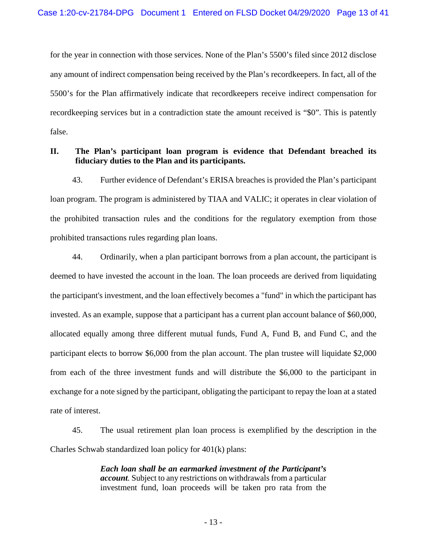for the year in connection with those services. None of the Plan's 5500's filed since 2012 disclose any amount of indirect compensation being received by the Plan's recordkeepers. In fact, all of the 5500's for the Plan affirmatively indicate that recordkeepers receive indirect compensation for recordkeeping services but in a contradiction state the amount received is "\$0". This is patently false.

# **II. The Plan's participant loan program is evidence that Defendant breached its fiduciary duties to the Plan and its participants.**

43. Further evidence of Defendant's ERISA breaches is provided the Plan's participant loan program. The program is administered by TIAA and VALIC; it operates in clear violation of the prohibited transaction rules and the conditions for the regulatory exemption from those prohibited transactions rules regarding plan loans.

44. Ordinarily, when a plan participant borrows from a plan account, the participant is deemed to have invested the account in the loan. The loan proceeds are derived from liquidating the participant's investment, and the loan effectively becomes a "fund" in which the participant has invested. As an example, suppose that a participant has a current plan account balance of \$60,000, allocated equally among three different mutual funds, Fund A, Fund B, and Fund C, and the participant elects to borrow \$6,000 from the plan account. The plan trustee will liquidate \$2,000 from each of the three investment funds and will distribute the \$6,000 to the participant in exchange for a note signed by the participant, obligating the participant to repay the loan at a stated rate of interest.

45. The usual retirement plan loan process is exemplified by the description in the Charles Schwab standardized loan policy for 401(k) plans:

> *Each loan shall be an earmarked investment of the Participant's account.* Subject to any restrictions on withdrawals from a particular investment fund, loan proceeds will be taken pro rata from the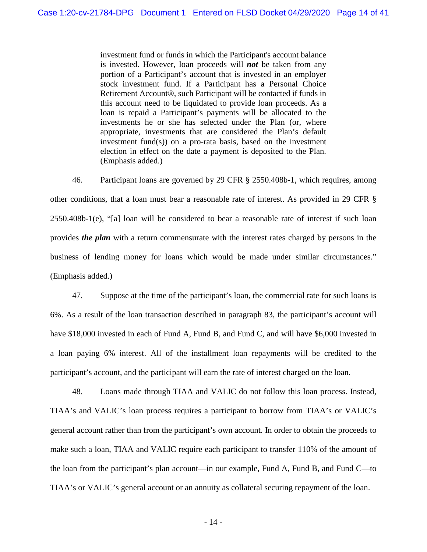investment fund or funds in which the Participant's account balance is invested. However, loan proceeds will *not* be taken from any portion of a Participant's account that is invested in an employer stock investment fund. If a Participant has a Personal Choice Retirement Account®, such Participant will be contacted if funds in this account need to be liquidated to provide loan proceeds. As a loan is repaid a Participant's payments will be allocated to the investments he or she has selected under the Plan (or, where appropriate, investments that are considered the Plan's default investment fund(s)) on a pro-rata basis, based on the investment election in effect on the date a payment is deposited to the Plan. (Emphasis added.)

46. Participant loans are governed by 29 CFR § 2550.408b-1, which requires, among other conditions, that a loan must bear a reasonable rate of interest. As provided in 29 CFR § 2550.408b-1(e), "[a] loan will be considered to bear a reasonable rate of interest if such loan provides *the plan* with a return commensurate with the interest rates charged by persons in the business of lending money for loans which would be made under similar circumstances." (Emphasis added.)

47. Suppose at the time of the participant's loan, the commercial rate for such loans is 6%. As a result of the loan transaction described in paragraph 83, the participant's account will have \$18,000 invested in each of Fund A, Fund B, and Fund C, and will have \$6,000 invested in a loan paying 6% interest. All of the installment loan repayments will be credited to the participant's account, and the participant will earn the rate of interest charged on the loan.

48. Loans made through TIAA and VALIC do not follow this loan process. Instead, TIAA's and VALIC's loan process requires a participant to borrow from TIAA's or VALIC's general account rather than from the participant's own account. In order to obtain the proceeds to make such a loan, TIAA and VALIC require each participant to transfer 110% of the amount of the loan from the participant's plan account—in our example, Fund A, Fund B, and Fund C—to TIAA's or VALIC's general account or an annuity as collateral securing repayment of the loan.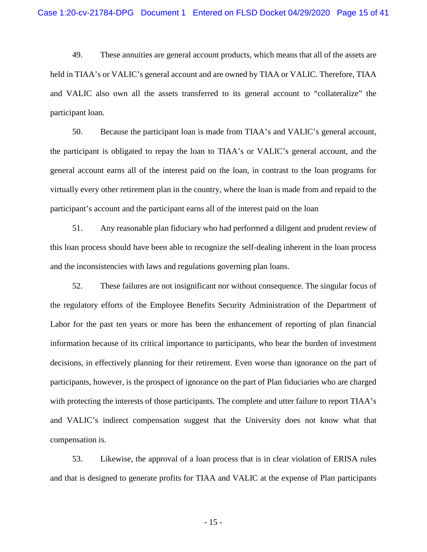49. These annuities are general account products, which means that all of the assets are held in TIAA's or VALIC's general account and are owned by TIAA or VALIC. Therefore, TIAA and VALIC also own all the assets transferred to its general account to "collateralize" the participant loan.

50. Because the participant loan is made from TIAA's and VALIC's general account, the participant is obligated to repay the loan to TIAA's or VALIC's general account, and the general account earns all of the interest paid on the loan, in contrast to the loan programs for virtually every other retirement plan in the country, where the loan is made from and repaid to the participant's account and the participant earns all of the interest paid on the loan

51. Any reasonable plan fiduciary who had performed a diligent and prudent review of this loan process should have been able to recognize the self-dealing inherent in the loan process and the inconsistencies with laws and regulations governing plan loans.

52. These failures are not insignificant nor without consequence. The singular focus of the regulatory efforts of the Employee Benefits Security Administration of the Department of Labor for the past ten years or more has been the enhancement of reporting of plan financial information because of its critical importance to participants, who bear the burden of investment decisions, in effectively planning for their retirement. Even worse than ignorance on the part of participants, however, is the prospect of ignorance on the part of Plan fiduciaries who are charged with protecting the interests of those participants. The complete and utter failure to report TIAA's and VALIC's indirect compensation suggest that the University does not know what that compensation is.

53. Likewise, the approval of a loan process that is in clear violation of ERISA rules and that is designed to generate profits for TIAA and VALIC at the expense of Plan participants

- 15 -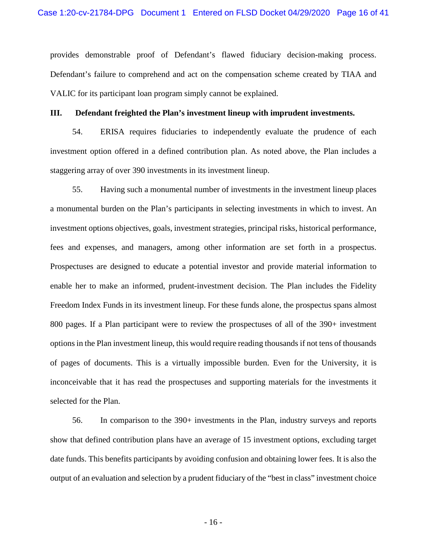provides demonstrable proof of Defendant's flawed fiduciary decision-making process. Defendant's failure to comprehend and act on the compensation scheme created by TIAA and VALIC for its participant loan program simply cannot be explained.

#### **III. Defendant freighted the Plan's investment lineup with imprudent investments.**

54. ERISA requires fiduciaries to independently evaluate the prudence of each investment option offered in a defined contribution plan. As noted above, the Plan includes a staggering array of over 390 investments in its investment lineup.

55. Having such a monumental number of investments in the investment lineup places a monumental burden on the Plan's participants in selecting investments in which to invest. An investment options objectives, goals, investment strategies, principal risks, historical performance, fees and expenses, and managers, among other information are set forth in a prospectus. Prospectuses are designed to educate a potential investor and provide material information to enable her to make an informed, prudent-investment decision. The Plan includes the Fidelity Freedom Index Funds in its investment lineup. For these funds alone, the prospectus spans almost 800 pages. If a Plan participant were to review the prospectuses of all of the 390+ investment options in the Plan investment lineup, this would require reading thousands if not tens of thousands of pages of documents. This is a virtually impossible burden. Even for the University, it is inconceivable that it has read the prospectuses and supporting materials for the investments it selected for the Plan.

56. In comparison to the 390+ investments in the Plan, industry surveys and reports show that defined contribution plans have an average of 15 investment options, excluding target date funds. This benefits participants by avoiding confusion and obtaining lower fees. It is also the output of an evaluation and selection by a prudent fiduciary of the "best in class" investment choice

- 16 -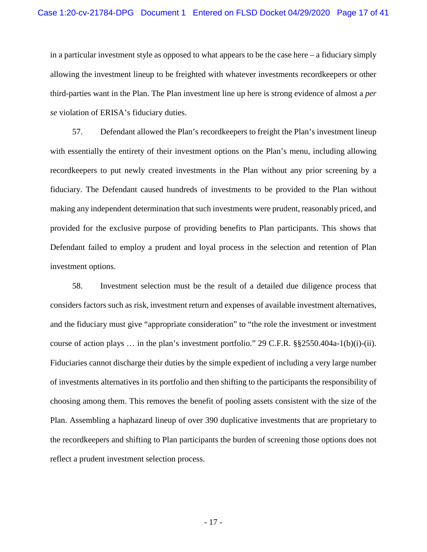in a particular investment style as opposed to what appears to be the case here – a fiduciary simply allowing the investment lineup to be freighted with whatever investments recordkeepers or other third-parties want in the Plan. The Plan investment line up here is strong evidence of almost a *per se* violation of ERISA's fiduciary duties.

57. Defendant allowed the Plan's recordkeepers to freight the Plan's investment lineup with essentially the entirety of their investment options on the Plan's menu, including allowing recordkeepers to put newly created investments in the Plan without any prior screening by a fiduciary. The Defendant caused hundreds of investments to be provided to the Plan without making any independent determination that such investments were prudent, reasonably priced, and provided for the exclusive purpose of providing benefits to Plan participants. This shows that Defendant failed to employ a prudent and loyal process in the selection and retention of Plan investment options.

58. Investment selection must be the result of a detailed due diligence process that considers factors such as risk, investment return and expenses of available investment alternatives, and the fiduciary must give "appropriate consideration" to "the role the investment or investment course of action plays … in the plan's investment portfolio." 29 C.F.R. §§2550.404a-1(b)(i)-(ii). Fiduciaries cannot discharge their duties by the simple expedient of including a very large number of investments alternatives in its portfolio and then shifting to the participants the responsibility of choosing among them. This removes the benefit of pooling assets consistent with the size of the Plan. Assembling a haphazard lineup of over 390 duplicative investments that are proprietary to the recordkeepers and shifting to Plan participants the burden of screening those options does not reflect a prudent investment selection process.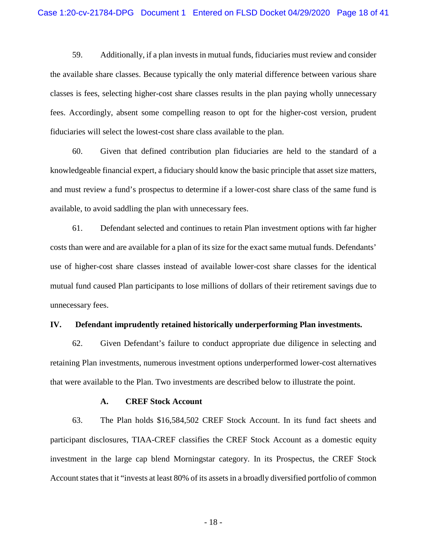59. Additionally, if a plan invests in mutual funds, fiduciaries must review and consider the available share classes. Because typically the only material difference between various share classes is fees, selecting higher-cost share classes results in the plan paying wholly unnecessary fees. Accordingly, absent some compelling reason to opt for the higher-cost version, prudent fiduciaries will select the lowest-cost share class available to the plan.

60. Given that defined contribution plan fiduciaries are held to the standard of a knowledgeable financial expert, a fiduciary should know the basic principle that asset size matters, and must review a fund's prospectus to determine if a lower-cost share class of the same fund is available, to avoid saddling the plan with unnecessary fees.

61. Defendant selected and continues to retain Plan investment options with far higher costs than were and are available for a plan of its size for the exact same mutual funds. Defendants' use of higher-cost share classes instead of available lower-cost share classes for the identical mutual fund caused Plan participants to lose millions of dollars of their retirement savings due to unnecessary fees.

#### **IV. Defendant imprudently retained historically underperforming Plan investments.**

62. Given Defendant's failure to conduct appropriate due diligence in selecting and retaining Plan investments, numerous investment options underperformed lower-cost alternatives that were available to the Plan. Two investments are described below to illustrate the point.

#### **A. CREF Stock Account**

63. The Plan holds \$16,584,502 CREF Stock Account. In its fund fact sheets and participant disclosures, TIAA-CREF classifies the CREF Stock Account as a domestic equity investment in the large cap blend Morningstar category. In its Prospectus, the CREF Stock Account states that it "invests at least 80% of its assets in a broadly diversified portfolio of common

- 18 -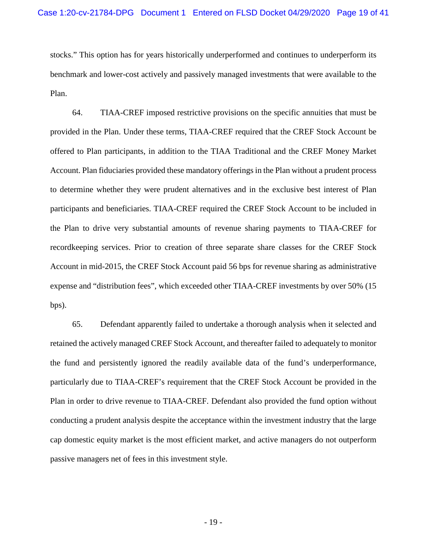stocks." This option has for years historically underperformed and continues to underperform its benchmark and lower-cost actively and passively managed investments that were available to the Plan.

64. TIAA-CREF imposed restrictive provisions on the specific annuities that must be provided in the Plan. Under these terms, TIAA-CREF required that the CREF Stock Account be offered to Plan participants, in addition to the TIAA Traditional and the CREF Money Market Account. Plan fiduciaries provided these mandatory offerings in the Plan without a prudent process to determine whether they were prudent alternatives and in the exclusive best interest of Plan participants and beneficiaries. TIAA-CREF required the CREF Stock Account to be included in the Plan to drive very substantial amounts of revenue sharing payments to TIAA-CREF for recordkeeping services. Prior to creation of three separate share classes for the CREF Stock Account in mid-2015, the CREF Stock Account paid 56 bps for revenue sharing as administrative expense and "distribution fees", which exceeded other TIAA-CREF investments by over 50% (15 bps).

65. Defendant apparently failed to undertake a thorough analysis when it selected and retained the actively managed CREF Stock Account, and thereafter failed to adequately to monitor the fund and persistently ignored the readily available data of the fund's underperformance, particularly due to TIAA-CREF's requirement that the CREF Stock Account be provided in the Plan in order to drive revenue to TIAA-CREF. Defendant also provided the fund option without conducting a prudent analysis despite the acceptance within the investment industry that the large cap domestic equity market is the most efficient market, and active managers do not outperform passive managers net of fees in this investment style.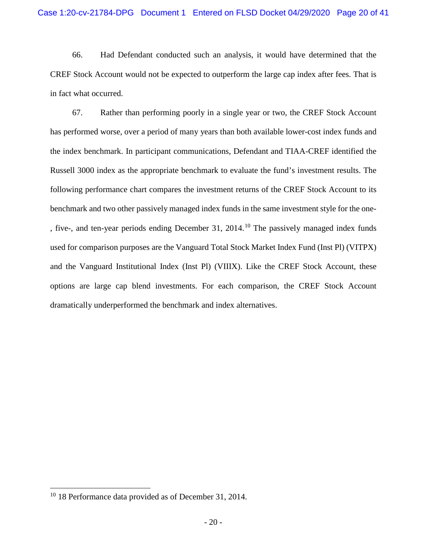66. Had Defendant conducted such an analysis, it would have determined that the CREF Stock Account would not be expected to outperform the large cap index after fees. That is in fact what occurred.

67. Rather than performing poorly in a single year or two, the CREF Stock Account has performed worse, over a period of many years than both available lower-cost index funds and the index benchmark. In participant communications, Defendant and TIAA-CREF identified the Russell 3000 index as the appropriate benchmark to evaluate the fund's investment results. The following performance chart compares the investment returns of the CREF Stock Account to its benchmark and two other passively managed index funds in the same investment style for the one- , five-, and ten-year periods ending December 31, 2014.[10](#page-19-0) The passively managed index funds used for comparison purposes are the Vanguard Total Stock Market Index Fund (Inst Pl) (VITPX) and the Vanguard Institutional Index (Inst Pl) (VIIIX). Like the CREF Stock Account, these options are large cap blend investments. For each comparison, the CREF Stock Account dramatically underperformed the benchmark and index alternatives.

<span id="page-19-0"></span><sup>&</sup>lt;sup>10</sup> 18 Performance data provided as of December 31, 2014.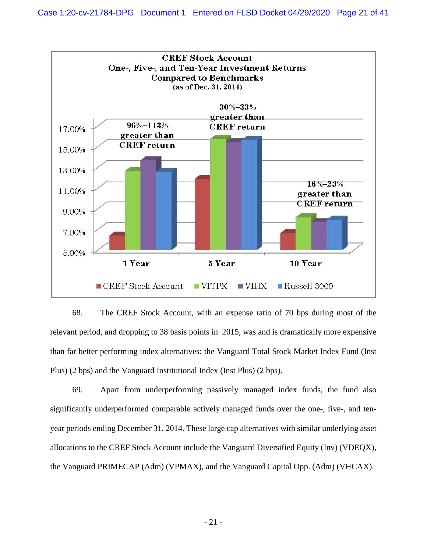

68. The CREF Stock Account, with an expense ratio of 70 bps during most of the relevant period, and dropping to 38 basis points in 2015, was and is dramatically more expensive than far better performing index alternatives: the Vanguard Total Stock Market Index Fund (Inst Plus) (2 bps) and the Vanguard Institutional Index (Inst Plus) (2 bps).

69. Apart from underperforming passively managed index funds, the fund also significantly underperformed comparable actively managed funds over the one-, five-, and tenyear periods ending December 31, 2014. These large cap alternatives with similar underlying asset allocations to the CREF Stock Account include the Vanguard Diversified Equity (Inv) (VDEQX), the Vanguard PRIMECAP (Adm) (VPMAX), and the Vanguard Capital Opp. (Adm) (VHCAX).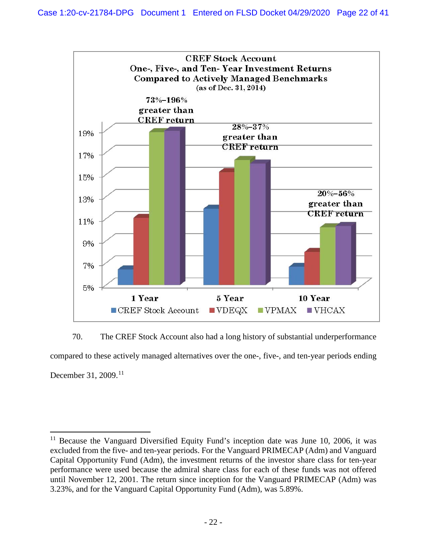

70. The CREF Stock Account also had a long history of substantial underperformance compared to these actively managed alternatives over the one-, five-, and ten-year periods ending December 31, 2009.<sup>[11](#page-21-0)</sup>

<span id="page-21-0"></span><sup>&</sup>lt;sup>11</sup> Because the Vanguard Diversified Equity Fund's inception date was June 10, 2006, it was excluded from the five- and ten-year periods. For the Vanguard PRIMECAP (Adm) and Vanguard Capital Opportunity Fund (Adm), the investment returns of the investor share class for ten-year performance were used because the admiral share class for each of these funds was not offered until November 12, 2001. The return since inception for the Vanguard PRIMECAP (Adm) was 3.23%, and for the Vanguard Capital Opportunity Fund (Adm), was 5.89%.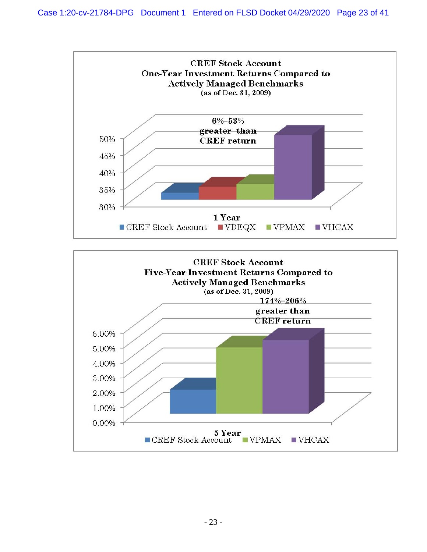

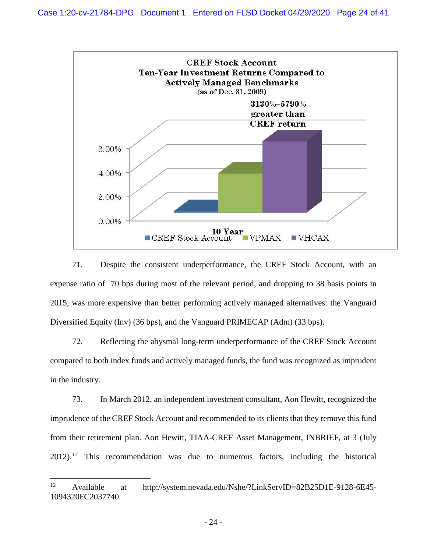

71. Despite the consistent underperformance, the CREF Stock Account, with an expense ratio of 70 bps during most of the relevant period, and dropping to 38 basis points in 2015, was more expensive than better performing actively managed alternatives: the Vanguard Diversified Equity (Inv) (36 bps), and the Vanguard PRIMECAP (Adm) (33 bps).

72. Reflecting the abysmal long-term underperformance of the CREF Stock Account compared to both index funds and actively managed funds, the fund was recognized as imprudent in the industry.

73. In March 2012, an independent investment consultant, Aon Hewitt, recognized the imprudence of the CREF Stock Account and recommended to its clients that they remove this fund from their retirement plan. Aon Hewitt, TIAA-CREF Asset Management, INBRIEF, at 3 (July  $2012$  $2012$ .<sup>12</sup> This recommendation was due to numerous factors, including the historical

<span id="page-23-0"></span> <sup>12</sup> Available at [http://system.nevada.edu/Nshe/?LinkServID=82B25D1E-9128-6E45-](http://system.nevada.edu/Nshe/?LinkServID=82B25D1E-9128-6E45-1094320FC2037740) [1094320FC2037740.](http://system.nevada.edu/Nshe/?LinkServID=82B25D1E-9128-6E45-1094320FC2037740)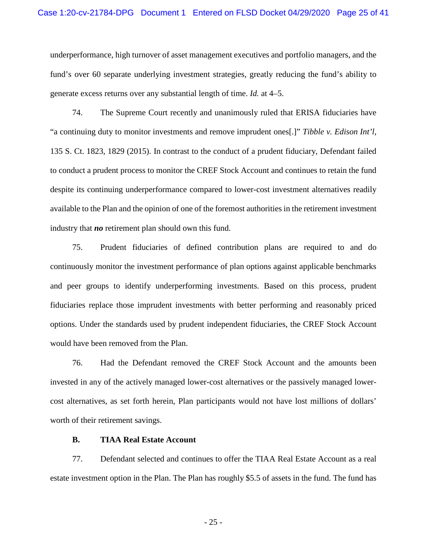underperformance, high turnover of asset management executives and portfolio managers, and the fund's over 60 separate underlying investment strategies, greatly reducing the fund's ability to generate excess returns over any substantial length of time. *Id.* at 4–5.

74. The Supreme Court recently and unanimously ruled that ERISA fiduciaries have "a continuing duty to monitor investments and remove imprudent ones[.]" *Tibble v. Edison Int'l*, 135 S. Ct. 1823, 1829 (2015). In contrast to the conduct of a prudent fiduciary, Defendant failed to conduct a prudent process to monitor the CREF Stock Account and continues to retain the fund despite its continuing underperformance compared to lower-cost investment alternatives readily available to the Plan and the opinion of one of the foremost authorities in the retirement investment industry that *no* retirement plan should own this fund.

75. Prudent fiduciaries of defined contribution plans are required to and do continuously monitor the investment performance of plan options against applicable benchmarks and peer groups to identify underperforming investments. Based on this process, prudent fiduciaries replace those imprudent investments with better performing and reasonably priced options. Under the standards used by prudent independent fiduciaries, the CREF Stock Account would have been removed from the Plan.

76. Had the Defendant removed the CREF Stock Account and the amounts been invested in any of the actively managed lower-cost alternatives or the passively managed lowercost alternatives, as set forth herein, Plan participants would not have lost millions of dollars' worth of their retirement savings.

#### **B. TIAA Real Estate Account**

77. Defendant selected and continues to offer the TIAA Real Estate Account as a real estate investment option in the Plan. The Plan has roughly \$5.5 of assets in the fund. The fund has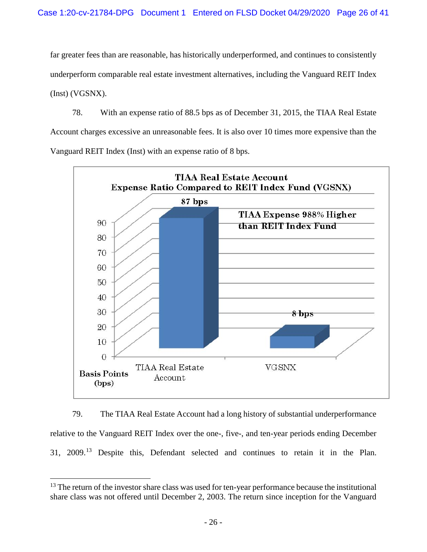far greater fees than are reasonable, has historically underperformed, and continues to consistently underperform comparable real estate investment alternatives, including the Vanguard REIT Index (Inst) (VGSNX).

78. With an expense ratio of 88.5 bps as of December 31, 2015, the TIAA Real Estate Account charges excessive an unreasonable fees. It is also over 10 times more expensive than the Vanguard REIT Index (Inst) with an expense ratio of 8 bps.



79. The TIAA Real Estate Account had a long history of substantial underperformance relative to the Vanguard REIT Index over the one-, five-, and ten-year periods ending December 31, 2009.[13](#page-25-0) Despite this, Defendant selected and continues to retain it in the Plan.

<span id="page-25-0"></span><sup>&</sup>lt;sup>13</sup> The return of the investor share class was used for ten-year performance because the institutional share class was not offered until December 2, 2003. The return since inception for the Vanguard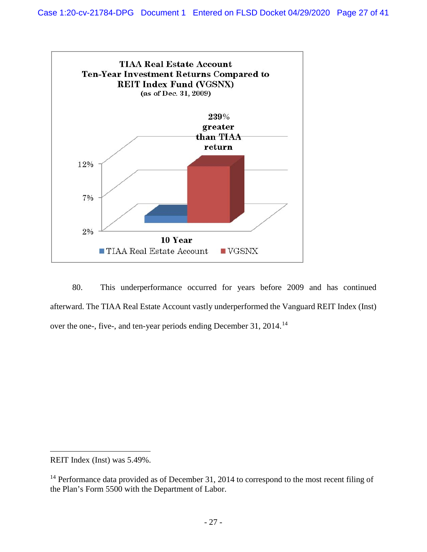

80. This underperformance occurred for years before 2009 and has continued afterward. The TIAA Real Estate Account vastly underperformed the Vanguard REIT Index (Inst) over the one-, five-, and ten-year periods ending December 31, 20[14](#page-26-0).<sup>14</sup>

REIT Index (Inst) was 5.49%.

 $\overline{a}$ 

<span id="page-26-0"></span><sup>&</sup>lt;sup>14</sup> Performance data provided as of December 31, 2014 to correspond to the most recent filing of the Plan's Form 5500 with the Department of Labor.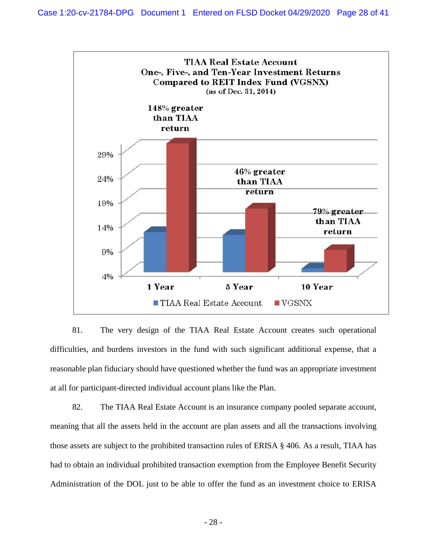

81. The very design of the TIAA Real Estate Account creates such operational difficulties, and burdens investors in the fund with such significant additional expense, that a reasonable plan fiduciary should have questioned whether the fund was an appropriate investment at all for participant-directed individual account plans like the Plan.

82. The TIAA Real Estate Account is an insurance company pooled separate account, meaning that all the assets held in the account are plan assets and all the transactions involving those assets are subject to the prohibited transaction rules of ERISA § 406. As a result, TIAA has had to obtain an individual prohibited transaction exemption from the Employee Benefit Security Administration of the DOL just to be able to offer the fund as an investment choice to ERISA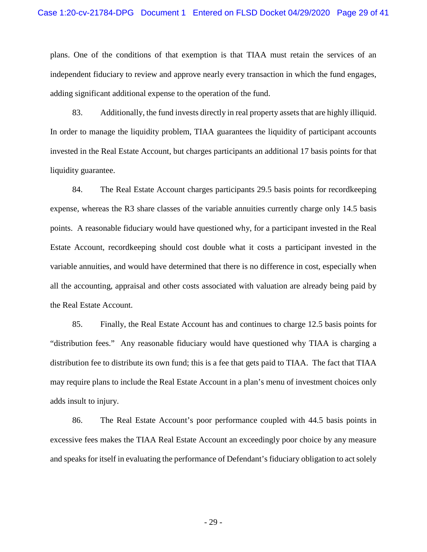plans. One of the conditions of that exemption is that TIAA must retain the services of an independent fiduciary to review and approve nearly every transaction in which the fund engages, adding significant additional expense to the operation of the fund.

83. Additionally, the fund invests directly in real property assets that are highly illiquid. In order to manage the liquidity problem, TIAA guarantees the liquidity of participant accounts invested in the Real Estate Account, but charges participants an additional 17 basis points for that liquidity guarantee.

84. The Real Estate Account charges participants 29.5 basis points for recordkeeping expense, whereas the R3 share classes of the variable annuities currently charge only 14.5 basis points. A reasonable fiduciary would have questioned why, for a participant invested in the Real Estate Account, recordkeeping should cost double what it costs a participant invested in the variable annuities, and would have determined that there is no difference in cost, especially when all the accounting, appraisal and other costs associated with valuation are already being paid by the Real Estate Account.

85. Finally, the Real Estate Account has and continues to charge 12.5 basis points for "distribution fees." Any reasonable fiduciary would have questioned why TIAA is charging a distribution fee to distribute its own fund; this is a fee that gets paid to TIAA. The fact that TIAA may require plans to include the Real Estate Account in a plan's menu of investment choices only adds insult to injury.

86. The Real Estate Account's poor performance coupled with 44.5 basis points in excessive fees makes the TIAA Real Estate Account an exceedingly poor choice by any measure and speaks for itself in evaluating the performance of Defendant's fiduciary obligation to act solely

- 29 -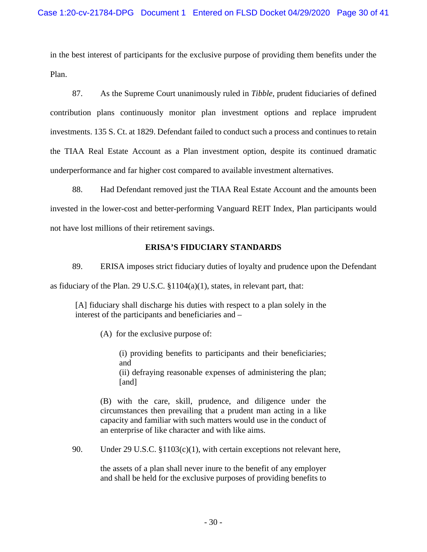in the best interest of participants for the exclusive purpose of providing them benefits under the Plan.

87. As the Supreme Court unanimously ruled in *Tibble*, prudent fiduciaries of defined contribution plans continuously monitor plan investment options and replace imprudent investments. 135 S. Ct. at 1829. Defendant failed to conduct such a process and continues to retain the TIAA Real Estate Account as a Plan investment option, despite its continued dramatic underperformance and far higher cost compared to available investment alternatives.

88. Had Defendant removed just the TIAA Real Estate Account and the amounts been invested in the lower-cost and better-performing Vanguard REIT Index, Plan participants would not have lost millions of their retirement savings.

# **ERISA'S FIDUCIARY STANDARDS**

89. ERISA imposes strict fiduciary duties of loyalty and prudence upon the Defendant as fiduciary of the Plan. 29 U.S.C. §1104(a)(1), states, in relevant part, that:

[A] fiduciary shall discharge his duties with respect to a plan solely in the interest of the participants and beneficiaries and –

(A) for the exclusive purpose of:

(i) providing benefits to participants and their beneficiaries; and (ii) defraying reasonable expenses of administering the plan; [and]

(B) with the care, skill, prudence, and diligence under the circumstances then prevailing that a prudent man acting in a like capacity and familiar with such matters would use in the conduct of an enterprise of like character and with like aims.

90. Under 29 U.S.C. §1103(c)(1), with certain exceptions not relevant here,

the assets of a plan shall never inure to the benefit of any employer and shall be held for the exclusive purposes of providing benefits to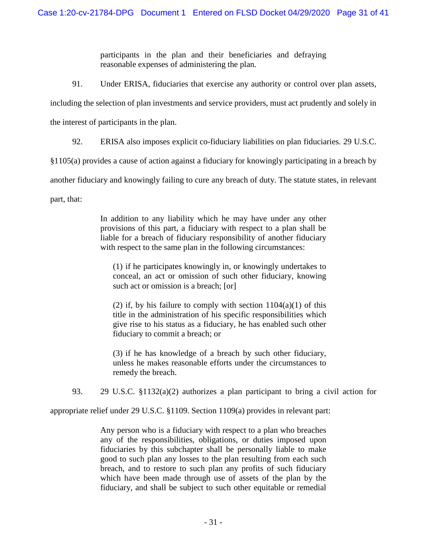participants in the plan and their beneficiaries and defraying reasonable expenses of administering the plan.

91. Under ERISA, fiduciaries that exercise any authority or control over plan assets,

including the selection of plan investments and service providers, must act prudently and solely in

the interest of participants in the plan.

92. ERISA also imposes explicit co-fiduciary liabilities on plan fiduciaries. 29 U.S.C.

§1105(a) provides a cause of action against a fiduciary for knowingly participating in a breach by

another fiduciary and knowingly failing to cure any breach of duty. The statute states, in relevant

part, that:

In addition to any liability which he may have under any other provisions of this part, a fiduciary with respect to a plan shall be liable for a breach of fiduciary responsibility of another fiduciary with respect to the same plan in the following circumstances:

(1) if he participates knowingly in, or knowingly undertakes to conceal, an act or omission of such other fiduciary, knowing such act or omission is a breach; [or]

(2) if, by his failure to comply with section  $1104(a)(1)$  of this title in the administration of his specific responsibilities which give rise to his status as a fiduciary, he has enabled such other fiduciary to commit a breach; or

(3) if he has knowledge of a breach by such other fiduciary, unless he makes reasonable efforts under the circumstances to remedy the breach.

93. 29 U.S.C. §1132(a)(2) authorizes a plan participant to bring a civil action for

appropriate relief under 29 U.S.C. §1109. Section 1109(a) provides in relevant part:

Any person who is a fiduciary with respect to a plan who breaches any of the responsibilities, obligations, or duties imposed upon fiduciaries by this subchapter shall be personally liable to make good to such plan any losses to the plan resulting from each such breach, and to restore to such plan any profits of such fiduciary which have been made through use of assets of the plan by the fiduciary, and shall be subject to such other equitable or remedial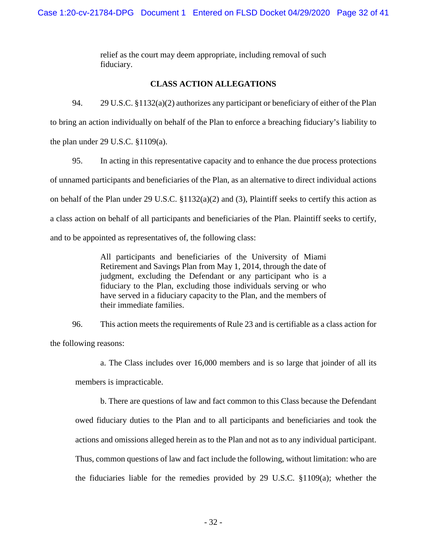relief as the court may deem appropriate, including removal of such fiduciary.

# **CLASS ACTION ALLEGATIONS**

94. 29 U.S.C. §1132(a)(2) authorizes any participant or beneficiary of either of the Plan to bring an action individually on behalf of the Plan to enforce a breaching fiduciary's liability to the plan under 29 U.S.C. §1109(a).

95. In acting in this representative capacity and to enhance the due process protections of unnamed participants and beneficiaries of the Plan, as an alternative to direct individual actions on behalf of the Plan under 29 U.S.C. §1132(a)(2) and (3), Plaintiff seeks to certify this action as a class action on behalf of all participants and beneficiaries of the Plan. Plaintiff seeks to certify, and to be appointed as representatives of, the following class:

> All participants and beneficiaries of the University of Miami Retirement and Savings Plan from May 1, 2014, through the date of judgment, excluding the Defendant or any participant who is a fiduciary to the Plan, excluding those individuals serving or who have served in a fiduciary capacity to the Plan, and the members of their immediate families.

96. This action meets the requirements of Rule 23 and is certifiable as a class action for the following reasons:

a. The Class includes over 16,000 members and is so large that joinder of all its

members is impracticable.

b. There are questions of law and fact common to this Class because the Defendant owed fiduciary duties to the Plan and to all participants and beneficiaries and took the actions and omissions alleged herein as to the Plan and not as to any individual participant. Thus, common questions of law and fact include the following, without limitation: who are the fiduciaries liable for the remedies provided by 29 U.S.C. §1109(a); whether the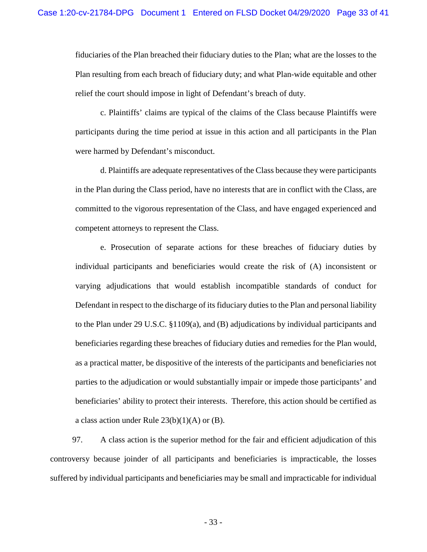fiduciaries of the Plan breached their fiduciary duties to the Plan; what are the losses to the Plan resulting from each breach of fiduciary duty; and what Plan-wide equitable and other relief the court should impose in light of Defendant's breach of duty.

c. Plaintiffs' claims are typical of the claims of the Class because Plaintiffs were participants during the time period at issue in this action and all participants in the Plan were harmed by Defendant's misconduct.

d. Plaintiffs are adequate representatives of the Class because they were participants in the Plan during the Class period, have no interests that are in conflict with the Class, are committed to the vigorous representation of the Class, and have engaged experienced and competent attorneys to represent the Class.

e. Prosecution of separate actions for these breaches of fiduciary duties by individual participants and beneficiaries would create the risk of (A) inconsistent or varying adjudications that would establish incompatible standards of conduct for Defendant in respect to the discharge of its fiduciary duties to the Plan and personal liability to the Plan under 29 U.S.C. §1109(a), and (B) adjudications by individual participants and beneficiaries regarding these breaches of fiduciary duties and remedies for the Plan would, as a practical matter, be dispositive of the interests of the participants and beneficiaries not parties to the adjudication or would substantially impair or impede those participants' and beneficiaries' ability to protect their interests. Therefore, this action should be certified as a class action under Rule  $23(b)(1)(A)$  or (B).

97. A class action is the superior method for the fair and efficient adjudication of this controversy because joinder of all participants and beneficiaries is impracticable, the losses suffered by individual participants and beneficiaries may be small and impracticable for individual

- 33 -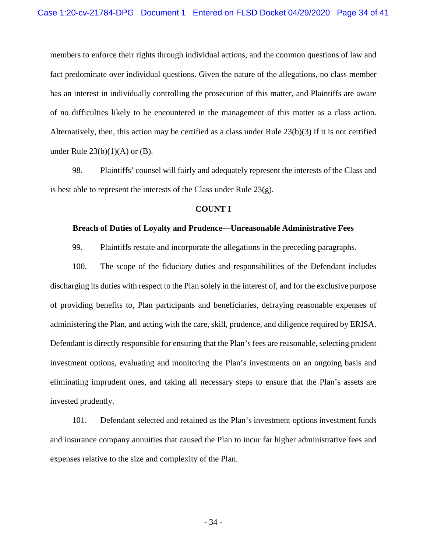members to enforce their rights through individual actions, and the common questions of law and fact predominate over individual questions. Given the nature of the allegations, no class member has an interest in individually controlling the prosecution of this matter, and Plaintiffs are aware of no difficulties likely to be encountered in the management of this matter as a class action. Alternatively, then, this action may be certified as a class under Rule 23(b)(3) if it is not certified under Rule  $23(b)(1)(A)$  or  $(B)$ .

98. Plaintiffs' counsel will fairly and adequately represent the interests of the Class and is best able to represent the interests of the Class under Rule 23(g).

#### **COUNT I**

#### **Breach of Duties of Loyalty and Prudence—Unreasonable Administrative Fees**

99. Plaintiffs restate and incorporate the allegations in the preceding paragraphs.

100. The scope of the fiduciary duties and responsibilities of the Defendant includes discharging its duties with respect to the Plan solely in the interest of, and for the exclusive purpose of providing benefits to, Plan participants and beneficiaries, defraying reasonable expenses of administering the Plan, and acting with the care, skill, prudence, and diligence required by ERISA. Defendant is directly responsible for ensuring that the Plan's fees are reasonable, selecting prudent investment options, evaluating and monitoring the Plan's investments on an ongoing basis and eliminating imprudent ones, and taking all necessary steps to ensure that the Plan's assets are invested prudently.

101. Defendant selected and retained as the Plan's investment options investment funds and insurance company annuities that caused the Plan to incur far higher administrative fees and expenses relative to the size and complexity of the Plan.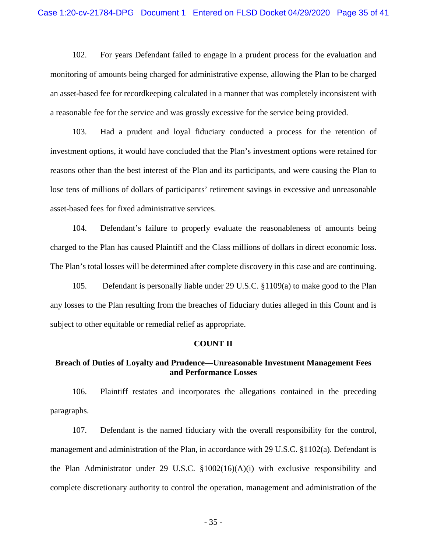102. For years Defendant failed to engage in a prudent process for the evaluation and monitoring of amounts being charged for administrative expense, allowing the Plan to be charged an asset-based fee for recordkeeping calculated in a manner that was completely inconsistent with a reasonable fee for the service and was grossly excessive for the service being provided.

103. Had a prudent and loyal fiduciary conducted a process for the retention of investment options, it would have concluded that the Plan's investment options were retained for reasons other than the best interest of the Plan and its participants, and were causing the Plan to lose tens of millions of dollars of participants' retirement savings in excessive and unreasonable asset-based fees for fixed administrative services.

104. Defendant's failure to properly evaluate the reasonableness of amounts being charged to the Plan has caused Plaintiff and the Class millions of dollars in direct economic loss. The Plan's total losses will be determined after complete discovery in this case and are continuing.

105. Defendant is personally liable under 29 U.S.C. §1109(a) to make good to the Plan any losses to the Plan resulting from the breaches of fiduciary duties alleged in this Count and is subject to other equitable or remedial relief as appropriate.

#### **COUNT II**

# **Breach of Duties of Loyalty and Prudence—Unreasonable Investment Management Fees and Performance Losses**

106. Plaintiff restates and incorporates the allegations contained in the preceding paragraphs.

107. Defendant is the named fiduciary with the overall responsibility for the control, management and administration of the Plan, in accordance with 29 U.S.C. §1102(a). Defendant is the Plan Administrator under 29 U.S.C. §1002(16)(A)(i) with exclusive responsibility and complete discretionary authority to control the operation, management and administration of the

- 35 -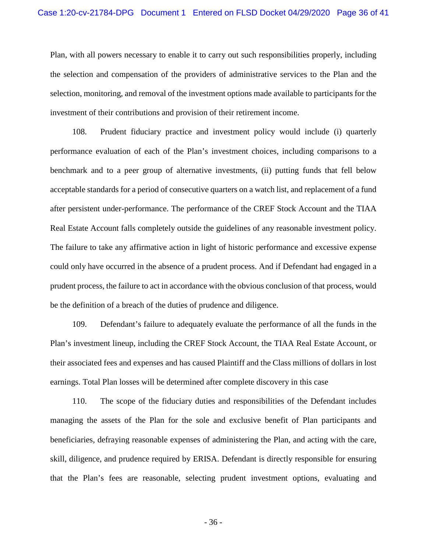Plan, with all powers necessary to enable it to carry out such responsibilities properly, including the selection and compensation of the providers of administrative services to the Plan and the selection, monitoring, and removal of the investment options made available to participants for the investment of their contributions and provision of their retirement income.

108. Prudent fiduciary practice and investment policy would include (i) quarterly performance evaluation of each of the Plan's investment choices, including comparisons to a benchmark and to a peer group of alternative investments, (ii) putting funds that fell below acceptable standards for a period of consecutive quarters on a watch list, and replacement of a fund after persistent under-performance. The performance of the CREF Stock Account and the TIAA Real Estate Account falls completely outside the guidelines of any reasonable investment policy. The failure to take any affirmative action in light of historic performance and excessive expense could only have occurred in the absence of a prudent process. And if Defendant had engaged in a prudent process, the failure to act in accordance with the obvious conclusion of that process, would be the definition of a breach of the duties of prudence and diligence.

109. Defendant's failure to adequately evaluate the performance of all the funds in the Plan's investment lineup, including the CREF Stock Account, the TIAA Real Estate Account, or their associated fees and expenses and has caused Plaintiff and the Class millions of dollars in lost earnings. Total Plan losses will be determined after complete discovery in this case

110. The scope of the fiduciary duties and responsibilities of the Defendant includes managing the assets of the Plan for the sole and exclusive benefit of Plan participants and beneficiaries, defraying reasonable expenses of administering the Plan, and acting with the care, skill, diligence, and prudence required by ERISA. Defendant is directly responsible for ensuring that the Plan's fees are reasonable, selecting prudent investment options, evaluating and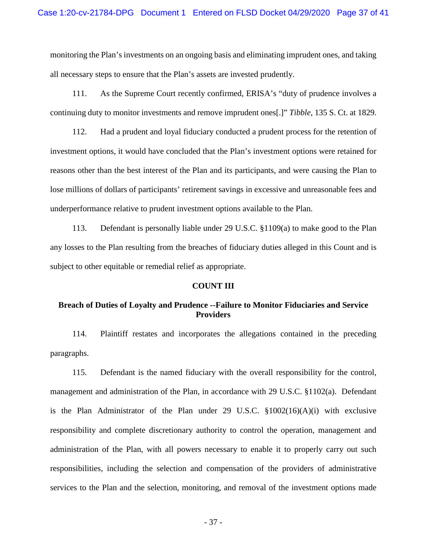monitoring the Plan's investments on an ongoing basis and eliminating imprudent ones, and taking all necessary steps to ensure that the Plan's assets are invested prudently.

111. As the Supreme Court recently confirmed, ERISA's "duty of prudence involves a continuing duty to monitor investments and remove imprudent ones[.]" *Tibble*, 135 S. Ct. at 1829.

112. Had a prudent and loyal fiduciary conducted a prudent process for the retention of investment options, it would have concluded that the Plan's investment options were retained for reasons other than the best interest of the Plan and its participants, and were causing the Plan to lose millions of dollars of participants' retirement savings in excessive and unreasonable fees and underperformance relative to prudent investment options available to the Plan.

113. Defendant is personally liable under 29 U.S.C. §1109(a) to make good to the Plan any losses to the Plan resulting from the breaches of fiduciary duties alleged in this Count and is subject to other equitable or remedial relief as appropriate.

#### **COUNT III**

# **Breach of Duties of Loyalty and Prudence --Failure to Monitor Fiduciaries and Service Providers**

114. Plaintiff restates and incorporates the allegations contained in the preceding paragraphs.

115. Defendant is the named fiduciary with the overall responsibility for the control, management and administration of the Plan, in accordance with 29 U.S.C. §1102(a). Defendant is the Plan Administrator of the Plan under 29 U.S.C. §1002(16)(A)(i) with exclusive responsibility and complete discretionary authority to control the operation, management and administration of the Plan, with all powers necessary to enable it to properly carry out such responsibilities, including the selection and compensation of the providers of administrative services to the Plan and the selection, monitoring, and removal of the investment options made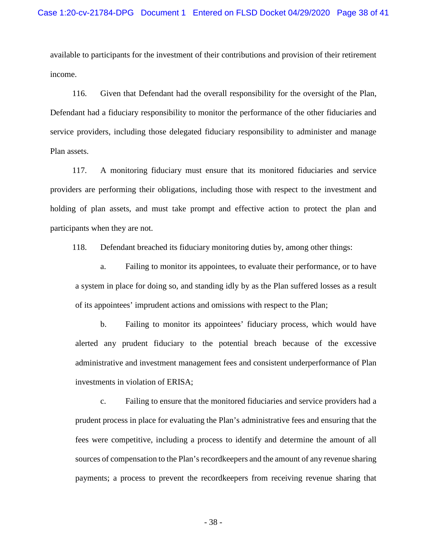available to participants for the investment of their contributions and provision of their retirement income.

116. Given that Defendant had the overall responsibility for the oversight of the Plan, Defendant had a fiduciary responsibility to monitor the performance of the other fiduciaries and service providers, including those delegated fiduciary responsibility to administer and manage Plan assets.

117. A monitoring fiduciary must ensure that its monitored fiduciaries and service providers are performing their obligations, including those with respect to the investment and holding of plan assets, and must take prompt and effective action to protect the plan and participants when they are not.

118. Defendant breached its fiduciary monitoring duties by, among other things:

a. Failing to monitor its appointees, to evaluate their performance, or to have a system in place for doing so, and standing idly by as the Plan suffered losses as a result of its appointees' imprudent actions and omissions with respect to the Plan;

b. Failing to monitor its appointees' fiduciary process, which would have alerted any prudent fiduciary to the potential breach because of the excessive administrative and investment management fees and consistent underperformance of Plan investments in violation of ERISA;

c. Failing to ensure that the monitored fiduciaries and service providers had a prudent process in place for evaluating the Plan's administrative fees and ensuring that the fees were competitive, including a process to identify and determine the amount of all sources of compensation to the Plan's record keepers and the amount of any revenue sharing payments; a process to prevent the recordkeepers from receiving revenue sharing that

- 38 -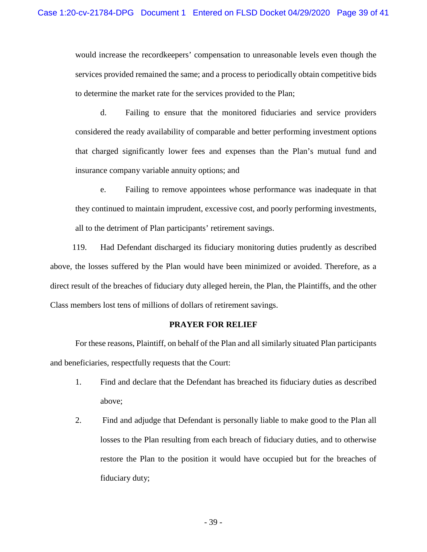would increase the recordkeepers' compensation to unreasonable levels even though the services provided remained the same; and a process to periodically obtain competitive bids to determine the market rate for the services provided to the Plan;

d. Failing to ensure that the monitored fiduciaries and service providers considered the ready availability of comparable and better performing investment options that charged significantly lower fees and expenses than the Plan's mutual fund and insurance company variable annuity options; and

e. Failing to remove appointees whose performance was inadequate in that they continued to maintain imprudent, excessive cost, and poorly performing investments, all to the detriment of Plan participants' retirement savings.

119. Had Defendant discharged its fiduciary monitoring duties prudently as described above, the losses suffered by the Plan would have been minimized or avoided. Therefore, as a direct result of the breaches of fiduciary duty alleged herein, the Plan, the Plaintiffs, and the other Class members lost tens of millions of dollars of retirement savings.

## **PRAYER FOR RELIEF**

For these reasons, Plaintiff, on behalf of the Plan and all similarly situated Plan participants and beneficiaries, respectfully requests that the Court:

- 1. Find and declare that the Defendant has breached its fiduciary duties as described above;
- 2. Find and adjudge that Defendant is personally liable to make good to the Plan all losses to the Plan resulting from each breach of fiduciary duties, and to otherwise restore the Plan to the position it would have occupied but for the breaches of fiduciary duty;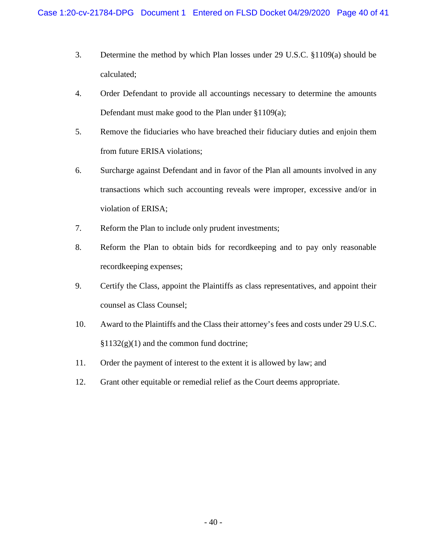- 3. Determine the method by which Plan losses under 29 U.S.C. §1109(a) should be calculated;
- 4. Order Defendant to provide all accountings necessary to determine the amounts Defendant must make good to the Plan under §1109(a);
- 5. Remove the fiduciaries who have breached their fiduciary duties and enjoin them from future ERISA violations;
- 6. Surcharge against Defendant and in favor of the Plan all amounts involved in any transactions which such accounting reveals were improper, excessive and/or in violation of ERISA;
- 7. Reform the Plan to include only prudent investments;
- 8. Reform the Plan to obtain bids for recordkeeping and to pay only reasonable recordkeeping expenses;
- 9. Certify the Class, appoint the Plaintiffs as class representatives, and appoint their counsel as Class Counsel;
- 10. Award to the Plaintiffs and the Class their attorney's fees and costs under 29 U.S.C.  $§1132(g)(1)$  and the common fund doctrine;
- 11. Order the payment of interest to the extent it is allowed by law; and
- 12. Grant other equitable or remedial relief as the Court deems appropriate.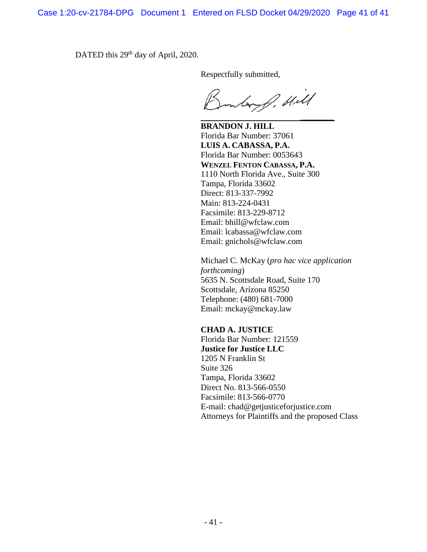DATED this 29<sup>th</sup> day of April, 2020.

Respectfully submitted,

Way of Hill *\_\_\_\_\_\_\_\_*

**BRANDON J. HILL** Florida Bar Number: 37061 **LUIS A. CABASSA, P.A.** Florida Bar Number: 0053643 **WENZEL FENTON CABASSA, P.A.** 1110 North Florida Ave., Suite 300 Tampa, Florida 33602 Direct: 813-337-7992 Main: 813-224-0431 Facsimile: 813-229-8712 Email: bhill@wfclaw.com Email: lcabassa@wfclaw.com Email: gnichols@wfclaw.com

Michael C. McKay (*pro hac vice application forthcoming*) 5635 N. Scottsdale Road, Suite 170 Scottsdale, Arizona 85250 Telephone: (480) 681-7000 Email: mckay@mckay.law

# **CHAD A. JUSTICE**

Florida Bar Number: 121559 **Justice for Justice LLC** 1205 N Franklin St Suite 326 Tampa, Florida 33602 Direct No. 813-566-0550 Facsimile: 813-566-0770 E-mail: chad@getjusticeforjustice.com Attorneys for Plaintiffs and the proposed Class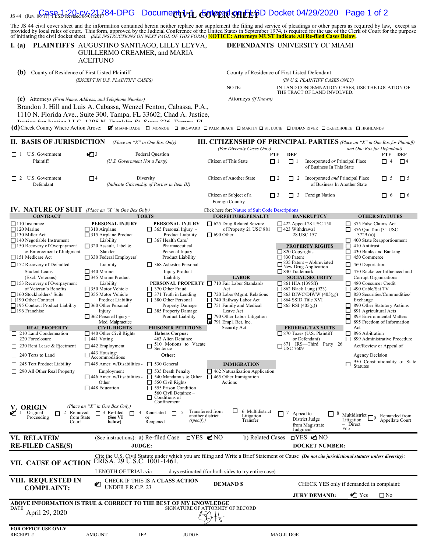# JS 44 (Rev. 06/17) FLSD Revised 06/01/2017 **CIVIL COVER SHEET** Case 1:20-cv-21784-DPG Document 1-1 Entered on FLSD Docket 04/29/2020 Page 1 of 2

The JS 44 civil cover sheet and the information contained herein neither replace nor supplement the filing and service of pleadings or other papers as required by law, except as provided by local rules of court. This form,

#### **I. (a) PLAINTIFFS DEFENDANTS** AUGUSTINO SANTIAGO, LILLY LEYVA, GUILLERMO CREAMER, and MARIA **ACEITUNO**

**(b)** County of Residence of First Listed Plaintiff *(EXCEPT IN U.S. PLAINTIFF CASES)* 

**(c)** Attorneys *(Firm Name, Address, and Telephone Number)* Attorneys

 Brandon J. Hill and Luis A. Cabassa, Wenzel Fenton, Cabassa, P.A., 1110 N. Florida Ave., Suite 300, Tampa, FL 33602; Chad A. Justice,

DEFENDANTS UNIVERSITY OF MIAMI

|                      | County of Residence of First Listed Defendant                                  |
|----------------------|--------------------------------------------------------------------------------|
|                      | (IN U.S. PLAINTIFF CASES ONLY)                                                 |
| NOTE:                | IN LAND CONDEMNATION CASES, USE THE LOCATION OF<br>THE TRACT OF LAND INVOLVED. |
| Attorneys (If Known) |                                                                                |

Theater Crip Thrater T.T.C. 1906 N.I. Thrankling Calichae O.C. Thromas T.T.<br>(d) Check County Where Action Arose: **M** MIAMI- DADE **ID** MONROE **ID BROWARD ID PALM BEACH ID MARTIN ID** ST. LUCIE ID INDIAN RIVER ID OKEECHOBEE I

| II. BASIS OF JURISDICTION                                                                                                                                                                                                                                                                                                                                                                                                                                                                                                                                                                                                                                                      | (Place an "X" in One Box Only)                                                                                                                                                                                                                                                                                                                                                                                                                                                                                                                                                                                                                           |                                                                                                                                                                                                                                                                                                                                                                                                                                                                                                                                                                                                                      |                                                                                                                                                                                                                                                                                                                                                                                                                                    |                                                                                                                                                                                                                                                                                                                                                                                                                                                                                                                                                                         | <b>III. CITIZENSHIP OF PRINCIPAL PARTIES</b> (Place an "X" in One Box for Plaintiff)                                                                                                                                                                                                                                                                                                                                                                                                                                                                                                                                                                                  |  |
|--------------------------------------------------------------------------------------------------------------------------------------------------------------------------------------------------------------------------------------------------------------------------------------------------------------------------------------------------------------------------------------------------------------------------------------------------------------------------------------------------------------------------------------------------------------------------------------------------------------------------------------------------------------------------------|----------------------------------------------------------------------------------------------------------------------------------------------------------------------------------------------------------------------------------------------------------------------------------------------------------------------------------------------------------------------------------------------------------------------------------------------------------------------------------------------------------------------------------------------------------------------------------------------------------------------------------------------------------|----------------------------------------------------------------------------------------------------------------------------------------------------------------------------------------------------------------------------------------------------------------------------------------------------------------------------------------------------------------------------------------------------------------------------------------------------------------------------------------------------------------------------------------------------------------------------------------------------------------------|------------------------------------------------------------------------------------------------------------------------------------------------------------------------------------------------------------------------------------------------------------------------------------------------------------------------------------------------------------------------------------------------------------------------------------|-------------------------------------------------------------------------------------------------------------------------------------------------------------------------------------------------------------------------------------------------------------------------------------------------------------------------------------------------------------------------------------------------------------------------------------------------------------------------------------------------------------------------------------------------------------------------|-----------------------------------------------------------------------------------------------------------------------------------------------------------------------------------------------------------------------------------------------------------------------------------------------------------------------------------------------------------------------------------------------------------------------------------------------------------------------------------------------------------------------------------------------------------------------------------------------------------------------------------------------------------------------|--|
|                                                                                                                                                                                                                                                                                                                                                                                                                                                                                                                                                                                                                                                                                |                                                                                                                                                                                                                                                                                                                                                                                                                                                                                                                                                                                                                                                          |                                                                                                                                                                                                                                                                                                                                                                                                                                                                                                                                                                                                                      | (For Diversity Cases Only)                                                                                                                                                                                                                                                                                                                                                                                                         |                                                                                                                                                                                                                                                                                                                                                                                                                                                                                                                                                                         | and One Box for Defendant)                                                                                                                                                                                                                                                                                                                                                                                                                                                                                                                                                                                                                                            |  |
| $\Box$ 1 U.S. Government                                                                                                                                                                                                                                                                                                                                                                                                                                                                                                                                                                                                                                                       | $\sqrt{3}$                                                                                                                                                                                                                                                                                                                                                                                                                                                                                                                                                                                                                                               | <b>Federal Question</b>                                                                                                                                                                                                                                                                                                                                                                                                                                                                                                                                                                                              |                                                                                                                                                                                                                                                                                                                                                                                                                                    | <b>DEF</b><br>PTF                                                                                                                                                                                                                                                                                                                                                                                                                                                                                                                                                       | PTF<br>DEF                                                                                                                                                                                                                                                                                                                                                                                                                                                                                                                                                                                                                                                            |  |
| Plaintiff                                                                                                                                                                                                                                                                                                                                                                                                                                                                                                                                                                                                                                                                      | (U.S. Government Not a Party)                                                                                                                                                                                                                                                                                                                                                                                                                                                                                                                                                                                                                            |                                                                                                                                                                                                                                                                                                                                                                                                                                                                                                                                                                                                                      | Citizen of This State                                                                                                                                                                                                                                                                                                                                                                                                              | $\Box$ 1<br>$\Box$ 1                                                                                                                                                                                                                                                                                                                                                                                                                                                                                                                                                    | Incorporated or Principal Place<br>$\Box$ 4<br>$\Box$ 4<br>of Business In This State                                                                                                                                                                                                                                                                                                                                                                                                                                                                                                                                                                                  |  |
| U.S. Government<br>$\Box$ 2<br>Defendant                                                                                                                                                                                                                                                                                                                                                                                                                                                                                                                                                                                                                                       | $\square$ 4                                                                                                                                                                                                                                                                                                                                                                                                                                                                                                                                                                                                                                              | Diversity<br>(Indicate Citizenship of Parties in Item III)                                                                                                                                                                                                                                                                                                                                                                                                                                                                                                                                                           | Citizen of Another State                                                                                                                                                                                                                                                                                                                                                                                                           | $\Box$ 2<br>$\Box$ 2                                                                                                                                                                                                                                                                                                                                                                                                                                                                                                                                                    | Incorporated and Principal Place<br>$\Box$ 5<br>$\Box$ 5<br>of Business In Another State                                                                                                                                                                                                                                                                                                                                                                                                                                                                                                                                                                              |  |
|                                                                                                                                                                                                                                                                                                                                                                                                                                                                                                                                                                                                                                                                                |                                                                                                                                                                                                                                                                                                                                                                                                                                                                                                                                                                                                                                                          |                                                                                                                                                                                                                                                                                                                                                                                                                                                                                                                                                                                                                      | Citizen or Subject of a<br>Foreign Country                                                                                                                                                                                                                                                                                                                                                                                         | $\Box$ 3<br>$\Box$ 3<br>Foreign Nation                                                                                                                                                                                                                                                                                                                                                                                                                                                                                                                                  | $\Box$ 6<br>П<br>-6                                                                                                                                                                                                                                                                                                                                                                                                                                                                                                                                                                                                                                                   |  |
| <b>IV. NATURE OF SUIT</b> (Place an "X" in One Box Only)                                                                                                                                                                                                                                                                                                                                                                                                                                                                                                                                                                                                                       |                                                                                                                                                                                                                                                                                                                                                                                                                                                                                                                                                                                                                                                          |                                                                                                                                                                                                                                                                                                                                                                                                                                                                                                                                                                                                                      | Click here for: Nature of Suit Code Descriptions                                                                                                                                                                                                                                                                                                                                                                                   |                                                                                                                                                                                                                                                                                                                                                                                                                                                                                                                                                                         |                                                                                                                                                                                                                                                                                                                                                                                                                                                                                                                                                                                                                                                                       |  |
| <b>CONTRACT</b>                                                                                                                                                                                                                                                                                                                                                                                                                                                                                                                                                                                                                                                                |                                                                                                                                                                                                                                                                                                                                                                                                                                                                                                                                                                                                                                                          | <b>TORTS</b>                                                                                                                                                                                                                                                                                                                                                                                                                                                                                                                                                                                                         | <b>FORFEITURE/PENALTY</b>                                                                                                                                                                                                                                                                                                                                                                                                          | <b>BANKRUPTCY</b>                                                                                                                                                                                                                                                                                                                                                                                                                                                                                                                                                       | <b>OTHER STATUTES</b>                                                                                                                                                                                                                                                                                                                                                                                                                                                                                                                                                                                                                                                 |  |
| $\Box$ 110 Insurance<br>$\Box$ 120 Marine<br>$\Box$ 130 Miller Act<br>$\Box$ 140 Negotiable Instrument<br>$\Box$ 150 Recovery of Overpayment<br>& Enforcement of Judgment<br>151 Medicare Act<br>$\Box$ 152 Recovery of Defaulted<br>Student Loans<br>(Excl. Veterans)<br>$\Box$ 153 Recovery of Overpayment<br>of Veteran's Benefits<br>160 Stockholders' Suits<br>$\Box$ 190 Other Contract<br>195 Contract Product Liability<br>$\Box$ 196 Franchise<br><b>REAL PROPERTY</b><br>$\Box$ 210 Land Condemnation<br>$\Box$ 220 Foreclosure<br>$\Box$ 230 Rent Lease & Ejectment<br>240 Torts to Land<br>$\Box$ 245 Tort Product Liability<br>$\Box$ 290 All Other Real Property | <b>PERSONAL INJURY</b><br>$\Box$ 310 Airplane<br>$\Box$ 315 Airplane Product<br>Liability<br>$\Box$ 320 Assault, Libel &<br>Slander<br>$\Box$ 330 Federal Employers'<br>Liability<br>$\Box$ 340 Marine<br>$\Box$ 345 Marine Product<br>Liability<br>$\Box$ 350 Motor Vehicle<br>355 Motor Vehicle<br>Product Liability<br>$\Box$ 360 Other Personal<br>Injury<br>$\Box$ 362 Personal Injury -<br>Med. Malpractice<br><b>CIVIL RIGHTS</b><br>$\Box$ 440 Other Civil Rights<br>$\Box$ 441 Voting<br>$\Box$ 442 Employment<br>$\Box$ 443 Housing/<br>Accommodations<br>$\Box$ 445 Amer. w/Disabilities -<br>Employment<br>$\Box$ 446 Amer. w/Disabilities - | PERSONAL INJURY<br>365 Personal Injury -<br><b>Product Liability</b><br>$\Box$ 367 Health Care/<br>Pharmaceutical<br>Personal Injury<br>Product Liability<br>368 Asbestos Personal<br><b>Injury Product</b><br>Liability<br>PERSONAL PROPERTY<br>$\Box$ 370 Other Fraud<br>□<br>371 Truth in Lending<br>380 Other Personal<br><b>Property Damage</b><br>385 Property Damage<br>Product Liability<br><b>PRISONER PETITIONS</b><br><b>Habeas Corpus:</b><br>$\Box$ 463 Alien Detainee<br>510 Motions to Vacate<br>□<br>Sentence<br>Other:<br>$\Box$ 530 General<br>535 Death Penalty<br>□<br>□<br>540 Mandamus & Other | $\Box$ 625 Drug Related Seizure<br>of Property 21 USC 881<br>$\Box$ 690 Other<br><b>LABOR</b><br>710 Fair Labor Standards<br>Act<br>720 Labor/Mgmt. Relations<br>$\Box$ 740 Railway Labor Act<br>$\Box$ 751 Family and Medical<br>Leave Act<br>$\Box$ 790 Other Labor Litigation<br>$\boxtimes$ 791 Empl. Ret. Inc.<br>Security Act<br><b>IMMIGRATION</b><br>$\Box$ 462 Naturalization Application<br>$\Box$ 465 Other Immigration | $\Box$ 422 Appeal 28 USC 158<br>$\Box$ 423 Withdrawal<br>28 USC 157<br><b>PROPERTY RIGHTS</b><br>$\Box$ 820 Copyrights<br>$\Box$ 830 Patent<br>$\frac{835 \text{ Patent} - \text{Abbreviated}}{\text{New Drug Application}}$<br>□ 840 Trademark<br><b>SOCIAL SECURITY</b><br>$\Box$ 861 HIA (1395ff)<br>$\Box$ 862 Black Lung (923)<br>$\Box$ 863 DIWC/DIWW (405(g))<br>$\Box$ 864 SSID Title XVI<br>$\Box$ 865 RSI (405(g))<br><b>FEDERAL TAX SUITS</b><br>$\Box$ 870 Taxes (U.S. Plaintiff<br>or Defendant)<br>$\square_{\text{USC}}^{\text{871}}$ IRS—Third Party 26 | 375 False Claims Act<br>$\Box$ 376 Qui Tam (31 USC<br>3729(a)<br>400 State Reapportionment<br>□<br>410 Antitrust<br>◻<br>430 Banks and Banking<br>$\Box$ 450 Commerce<br>$\Box$ 460 Deportation<br>470 Racketeer Influenced and<br>Corrupt Organizations<br>480 Consumer Credit<br>□<br>490 Cable/Sat TV<br>850 Securities/Commodities/<br>□<br>Exchange<br>890 Other Statutory Actions<br>ப<br>П<br>891 Agricultural Acts<br>П<br>893 Environmental Matters<br>◻<br>895 Freedom of Information<br>Act<br>$\Box$ 896 Arbitration<br>□ 899 Administrative Procedure<br>Act/Review or Appeal of<br>Agency Decision<br>950 Constitutionality of State<br><b>Statutes</b> |  |
| V. ORIGIN<br>$\blacksquare$ 1 Original<br>2 Removed<br>Proceeding<br>from State<br>Court                                                                                                                                                                                                                                                                                                                                                                                                                                                                                                                                                                                       | Other<br>□ 448 Education<br>(Place an "X" in One Box Only)<br>$\Box$ 3 Re-filed<br>$\Box$<br>$\overline{4}$<br>(See VI<br>below)                                                                                                                                                                                                                                                                                                                                                                                                                                                                                                                         | □<br>550 Civil Rights<br>555 Prison Condition<br>П<br>560 Civil Detainee -<br>□<br>Conditions of<br>Confinement<br>Reinstated<br>$\overline{\phantom{0}}$<br>П<br>another district<br>(specify)<br>Reopened                                                                                                                                                                                                                                                                                                                                                                                                          | Actions<br>□<br>Transferred from<br>6 Multidistrict<br>Litigation<br>Transfer                                                                                                                                                                                                                                                                                                                                                      | 7<br>Appeal to<br>District Judge<br>from Magistrate<br>Judgment                                                                                                                                                                                                                                                                                                                                                                                                                                                                                                         | 8<br>Multidistrict $\Box$<br>Remanded from<br>Litigation<br>Appellate Court<br>$-$ Direct<br>File                                                                                                                                                                                                                                                                                                                                                                                                                                                                                                                                                                     |  |
| VI. RELATED/                                                                                                                                                                                                                                                                                                                                                                                                                                                                                                                                                                                                                                                                   | (See instructions): a) Re-filed Case                                                                                                                                                                                                                                                                                                                                                                                                                                                                                                                                                                                                                     |                                                                                                                                                                                                                                                                                                                                                                                                                                                                                                                                                                                                                      | b) Related Cases<br>$T1YES$ $\blacksquare$ NO                                                                                                                                                                                                                                                                                                                                                                                      | <b>□YES ØNO</b>                                                                                                                                                                                                                                                                                                                                                                                                                                                                                                                                                         |                                                                                                                                                                                                                                                                                                                                                                                                                                                                                                                                                                                                                                                                       |  |
| <b>RE-FILED CASE(S)</b>                                                                                                                                                                                                                                                                                                                                                                                                                                                                                                                                                                                                                                                        | <b>JUDGE:</b>                                                                                                                                                                                                                                                                                                                                                                                                                                                                                                                                                                                                                                            |                                                                                                                                                                                                                                                                                                                                                                                                                                                                                                                                                                                                                      |                                                                                                                                                                                                                                                                                                                                                                                                                                    | <b>DOCKET NUMBER:</b>                                                                                                                                                                                                                                                                                                                                                                                                                                                                                                                                                   |                                                                                                                                                                                                                                                                                                                                                                                                                                                                                                                                                                                                                                                                       |  |
|                                                                                                                                                                                                                                                                                                                                                                                                                                                                                                                                                                                                                                                                                |                                                                                                                                                                                                                                                                                                                                                                                                                                                                                                                                                                                                                                                          |                                                                                                                                                                                                                                                                                                                                                                                                                                                                                                                                                                                                                      |                                                                                                                                                                                                                                                                                                                                                                                                                                    |                                                                                                                                                                                                                                                                                                                                                                                                                                                                                                                                                                         |                                                                                                                                                                                                                                                                                                                                                                                                                                                                                                                                                                                                                                                                       |  |
| VII. CAUSE OF ACTION                                                                                                                                                                                                                                                                                                                                                                                                                                                                                                                                                                                                                                                           | ERISA, 29 U.S.C. 1001-1461.                                                                                                                                                                                                                                                                                                                                                                                                                                                                                                                                                                                                                              |                                                                                                                                                                                                                                                                                                                                                                                                                                                                                                                                                                                                                      |                                                                                                                                                                                                                                                                                                                                                                                                                                    |                                                                                                                                                                                                                                                                                                                                                                                                                                                                                                                                                                         | Cite the U.S. Civil Statute under which you are filing and Write a Brief Statement of Cause (Do not cite jurisdictional statutes unless diversity):                                                                                                                                                                                                                                                                                                                                                                                                                                                                                                                   |  |
|                                                                                                                                                                                                                                                                                                                                                                                                                                                                                                                                                                                                                                                                                | LENGTH OF TRIAL via                                                                                                                                                                                                                                                                                                                                                                                                                                                                                                                                                                                                                                      |                                                                                                                                                                                                                                                                                                                                                                                                                                                                                                                                                                                                                      | days estimated (for both sides to try entire case)                                                                                                                                                                                                                                                                                                                                                                                 |                                                                                                                                                                                                                                                                                                                                                                                                                                                                                                                                                                         |                                                                                                                                                                                                                                                                                                                                                                                                                                                                                                                                                                                                                                                                       |  |
| <b>VIII. REQUESTED IN</b><br><b>COMPLAINT:</b>                                                                                                                                                                                                                                                                                                                                                                                                                                                                                                                                                                                                                                 | UNDER F.R.C.P. 23                                                                                                                                                                                                                                                                                                                                                                                                                                                                                                                                                                                                                                        | CHECK IF THIS IS A CLASS ACTION                                                                                                                                                                                                                                                                                                                                                                                                                                                                                                                                                                                      | <b>DEMAND \$</b>                                                                                                                                                                                                                                                                                                                                                                                                                   |                                                                                                                                                                                                                                                                                                                                                                                                                                                                                                                                                                         | CHECK YES only if demanded in complaint:                                                                                                                                                                                                                                                                                                                                                                                                                                                                                                                                                                                                                              |  |
| $Y$ es<br><b>JURY DEMAND:</b><br>$\square$ No<br>ABOVE INFORMATION IS TRUE & CORRECT TO THE BEST OF MY KNOWLEDGE<br>SIGNATURE OF ATTORNEY OF RECORD<br>DATE                                                                                                                                                                                                                                                                                                                                                                                                                                                                                                                    |                                                                                                                                                                                                                                                                                                                                                                                                                                                                                                                                                                                                                                                          |                                                                                                                                                                                                                                                                                                                                                                                                                                                                                                                                                                                                                      |                                                                                                                                                                                                                                                                                                                                                                                                                                    |                                                                                                                                                                                                                                                                                                                                                                                                                                                                                                                                                                         |                                                                                                                                                                                                                                                                                                                                                                                                                                                                                                                                                                                                                                                                       |  |
| April 29, 2020                                                                                                                                                                                                                                                                                                                                                                                                                                                                                                                                                                                                                                                                 |                                                                                                                                                                                                                                                                                                                                                                                                                                                                                                                                                                                                                                                          |                                                                                                                                                                                                                                                                                                                                                                                                                                                                                                                                                                                                                      |                                                                                                                                                                                                                                                                                                                                                                                                                                    |                                                                                                                                                                                                                                                                                                                                                                                                                                                                                                                                                                         |                                                                                                                                                                                                                                                                                                                                                                                                                                                                                                                                                                                                                                                                       |  |
| FOR OFFICE USE ONLY<br>RECEIPT#                                                                                                                                                                                                                                                                                                                                                                                                                                                                                                                                                                                                                                                | IFP<br><b>AMOUNT</b>                                                                                                                                                                                                                                                                                                                                                                                                                                                                                                                                                                                                                                     | <b>JUDGE</b>                                                                                                                                                                                                                                                                                                                                                                                                                                                                                                                                                                                                         |                                                                                                                                                                                                                                                                                                                                                                                                                                    | <b>MAG JUDGE</b>                                                                                                                                                                                                                                                                                                                                                                                                                                                                                                                                                        |                                                                                                                                                                                                                                                                                                                                                                                                                                                                                                                                                                                                                                                                       |  |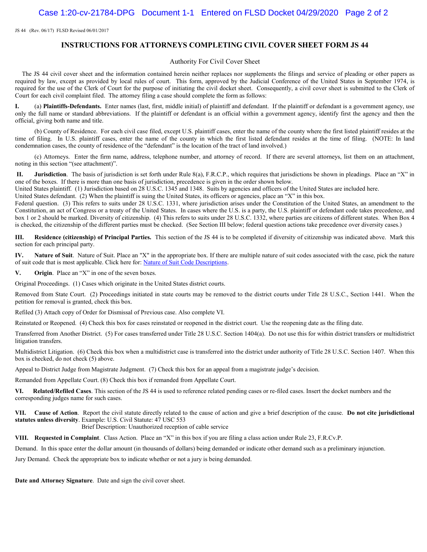JS 44 (Rev. 06/17) FLSD Revised 06/01/2017

#### **INSTRUCTIONS FOR ATTORNEYS COMPLETING CIVIL COVER SHEET FORM JS 44**

#### Authority For Civil Cover Sheet

 The JS 44 civil cover sheet and the information contained herein neither replaces nor supplements the filings and service of pleading or other papers as required by law, except as provided by local rules of court. This form, approved by the Judicial Conference of the United States in September 1974, is required for the use of the Clerk of Court for the purpose of initiating the civil docket sheet. Consequently, a civil cover sheet is submitted to the Clerk of Court for each civil complaint filed. The attorney filing a case should complete the form as follows:

**I.** (a) **Plaintiffs-Defendants.** Enter names (last, first, middle initial) of plaintiff and defendant. If the plaintiff or defendant is a government agency, use only the full name or standard abbreviations. If the plaintiff or defendant is an official within a government agency, identify first the agency and then the official, giving both name and title.

 (b) County of Residence. For each civil case filed, except U.S. plaintiff cases, enter the name of the county where the first listed plaintiff resides at the time of filing. In U.S. plaintiff cases, enter the name of the county in which the first listed defendant resides at the time of filing. (NOTE: In land condemnation cases, the county of residence of the "defendant" is the location of the tract of land involved.)

 (c) Attorneys. Enter the firm name, address, telephone number, and attorney of record. If there are several attorneys, list them on an attachment, noting in this section "(see attachment)".

 **II. Jurisdiction**. The basis of jurisdiction is set forth under Rule 8(a), F.R.C.P., which requires that jurisdictions be shown in pleadings. Place an "X" in one of the boxes. If there is more than one basis of jurisdiction, precedence is given in the order shown below.

United States plaintiff. (1) Jurisdiction based on 28 U.S.C. 1345 and 1348. Suits by agencies and officers of the United States are included here.

United States defendant. (2) When the plaintiff is suing the United States, its officers or agencies, place an "X" in this box.

Federal question. (3) This refers to suits under 28 U.S.C. 1331, where jurisdiction arises under the Constitution of the United States, an amendment to the Constitution, an act of Congress or a treaty of the United States. In cases where the U.S. is a party, the U.S. plaintiff or defendant code takes precedence, and box 1 or 2 should be marked. Diversity of citizenship. (4) This refers to suits under 28 U.S.C. 1332, where parties are citizens of different states. When Box 4 is checked, the citizenship of the different parties must be checked. (See Section III below; federal question actions take precedence over diversity cases.)

**III. Residence (citizenship) of Principal Parties.** This section of the JS 44 is to be completed if diversity of citizenship was indicated above. Mark this section for each principal party.

**IV. Nature of Suit**. Nature of Suit. Place an "X" in the appropriate box. If there are multiple nature of suit codes associated with the case, pick the nature of suit code that is most applicable. Click here for: Nature of Suit Code Descriptions.

**V. Origin**. Place an "X" in one of the seven boxes.

Original Proceedings. (1) Cases which originate in the United States district courts.

Removed from State Court. (2) Proceedings initiated in state courts may be removed to the district courts under Title 28 U.S.C., Section 1441. When the petition for removal is granted, check this box.

Refiled (3) Attach copy of Order for Dismissal of Previous case. Also complete VI.

Reinstated or Reopened. (4) Check this box for cases reinstated or reopened in the district court. Use the reopening date as the filing date.

Transferred from Another District. (5) For cases transferred under Title 28 U.S.C. Section 1404(a). Do not use this for within district transfers or multidistrict litigation transfers.

Multidistrict Litigation. (6) Check this box when a multidistrict case is transferred into the district under authority of Title 28 U.S.C. Section 1407. When this box is checked, do not check (5) above.

Appeal to District Judge from Magistrate Judgment. (7) Check this box for an appeal from a magistrate judge's decision.

Remanded from Appellate Court. (8) Check this box if remanded from Appellate Court.

**VI. Related/Refiled Cases**. This section of the JS 44 is used to reference related pending cases or re-filed cases. Insert the docket numbers and the corresponding judges name for such cases.

**VII. Cause of Action**. Report the civil statute directly related to the cause of action and give a brief description of the cause. **Do not cite jurisdictional statutes unless diversity**. Example: U.S. Civil Statute: 47 USC 553 Brief Description: Unauthorized reception of cable service

**VIII. Requested in Complaint**. Class Action. Place an "X" in this box if you are filing a class action under Rule 23, F.R.Cv.P.

Demand. In this space enter the dollar amount (in thousands of dollars) being demanded or indicate other demand such as a preliminary injunction.

Jury Demand. Check the appropriate box to indicate whether or not a jury is being demanded.

**Date and Attorney Signature**. Date and sign the civil cover sheet.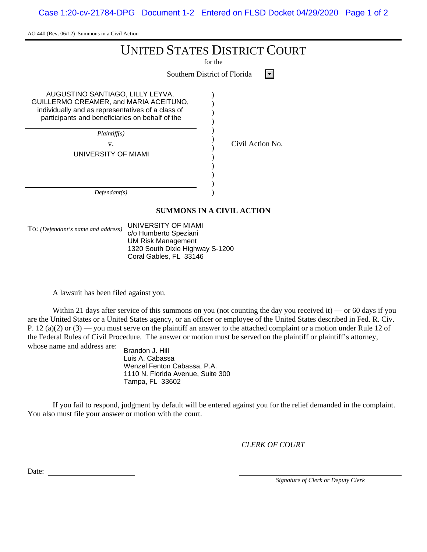Case 1:20-cv-21784-DPG Document 1-2 Entered on FLSD Docket 04/29/2020 Page 1 of 2

AO 440 (Rev. 06/12) Summons in a Civil Action

for the

Southern District of Florida  $\Box$ 

) ) ) ) ) ) ) ) ) ) ) )

AUGUSTINO SANTIAGO, LILLY LEYVA, GUILLERMO CREAMER, and MARIA ACEITUNO, individually and as representatives of a class of participants and beneficiaries on behalf of the

> *Plaintiff(s)* v. Civil Action No.

UNIVERSITY OF MIAMI

*Defendant(s)*

#### **SUMMONS IN A CIVIL ACTION**

To: *(Defendant's name and address)* UNIVERSITY OF MIAMI c/o Humberto Speziani UM Risk Management 1320 South Dixie Highway S-1200 Coral Gables, FL 33146

A lawsuit has been filed against you.

Within 21 days after service of this summons on you (not counting the day you received it) — or 60 days if you are the United States or a United States agency, or an officer or employee of the United States described in Fed. R. Civ. P. 12 (a)(2) or  $(3)$  — you must serve on the plaintiff an answer to the attached complaint or a motion under Rule 12 of the Federal Rules of Civil Procedure. The answer or motion must be served on the plaintiff or plaintiff's attorney, whose name and address are:

Brandon J. Hill Luis A. Cabassa Wenzel Fenton Cabassa, P.A. 1110 N. Florida Avenue, Suite 300 Tampa, FL 33602

If you fail to respond, judgment by default will be entered against you for the relief demanded in the complaint. You also must file your answer or motion with the court.

*CLERK OF COURT*

Date:

*Signature of Clerk or Deputy Clerk*